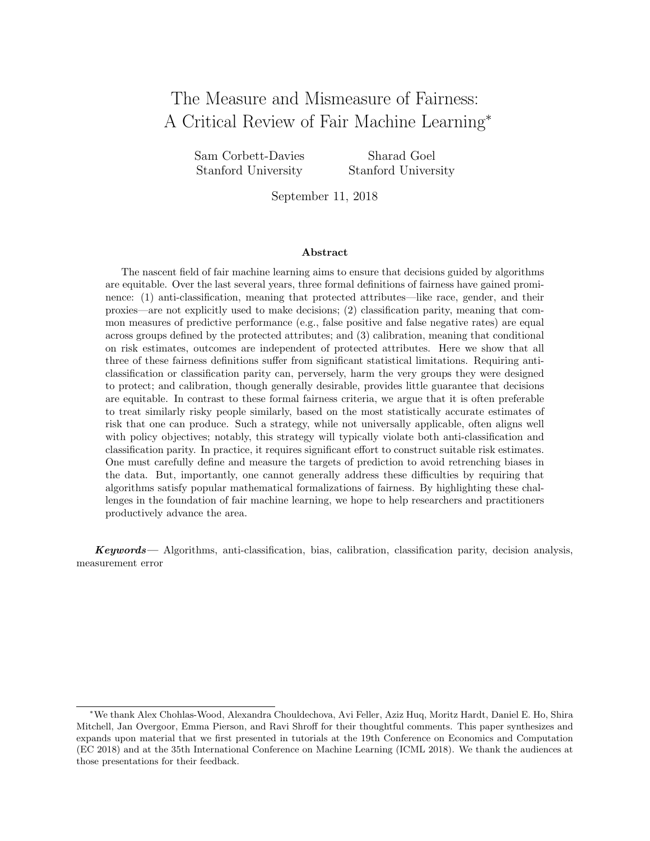# The Measure and Mismeasure of Fairness: A Critical Review of Fair Machine Learning<sup>∗</sup>

Sam Corbett-Davies Stanford University

Sharad Goel Stanford University

September 11, 2018

#### Abstract

The nascent field of fair machine learning aims to ensure that decisions guided by algorithms are equitable. Over the last several years, three formal definitions of fairness have gained prominence: (1) anti-classification, meaning that protected attributes—like race, gender, and their proxies—are not explicitly used to make decisions; (2) classification parity, meaning that common measures of predictive performance (e.g., false positive and false negative rates) are equal across groups defined by the protected attributes; and (3) calibration, meaning that conditional on risk estimates, outcomes are independent of protected attributes. Here we show that all three of these fairness definitions suffer from significant statistical limitations. Requiring anticlassification or classification parity can, perversely, harm the very groups they were designed to protect; and calibration, though generally desirable, provides little guarantee that decisions are equitable. In contrast to these formal fairness criteria, we argue that it is often preferable to treat similarly risky people similarly, based on the most statistically accurate estimates of risk that one can produce. Such a strategy, while not universally applicable, often aligns well with policy objectives; notably, this strategy will typically violate both anti-classification and classification parity. In practice, it requires significant effort to construct suitable risk estimates. One must carefully define and measure the targets of prediction to avoid retrenching biases in the data. But, importantly, one cannot generally address these difficulties by requiring that algorithms satisfy popular mathematical formalizations of fairness. By highlighting these challenges in the foundation of fair machine learning, we hope to help researchers and practitioners productively advance the area.

Keywords— Algorithms, anti-classification, bias, calibration, classification parity, decision analysis, measurement error

<sup>∗</sup>We thank Alex Chohlas-Wood, Alexandra Chouldechova, Avi Feller, Aziz Huq, Moritz Hardt, Daniel E. Ho, Shira Mitchell, Jan Overgoor, Emma Pierson, and Ravi Shroff for their thoughtful comments. This paper synthesizes and expands upon material that we first presented in tutorials at the 19th Conference on Economics and Computation (EC 2018) and at the 35th International Conference on Machine Learning (ICML 2018). We thank the audiences at those presentations for their feedback.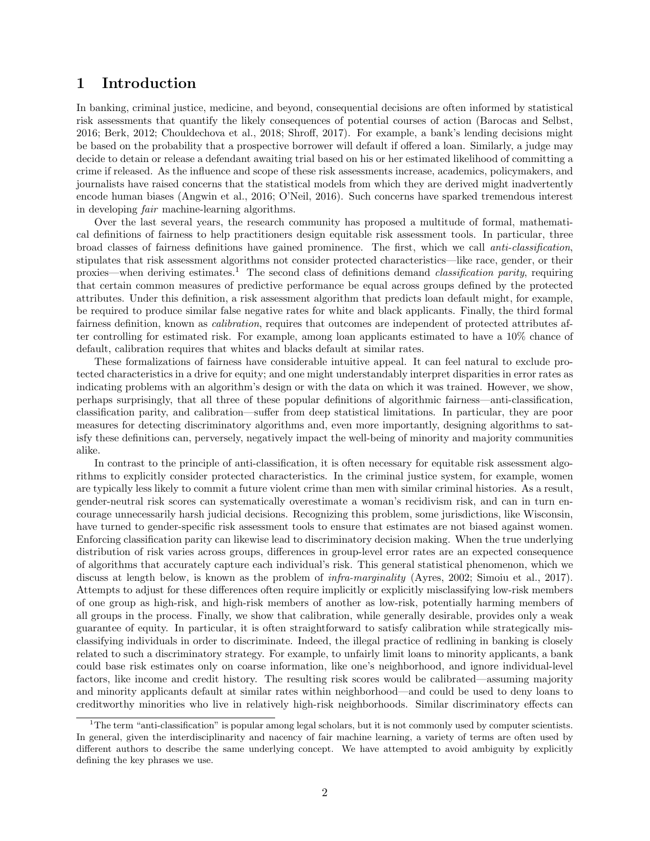### 1 Introduction

In banking, criminal justice, medicine, and beyond, consequential decisions are often informed by statistical risk assessments that quantify the likely consequences of potential courses of action [\(Barocas and Selbst,](#page-20-0) [2016;](#page-20-0) [Berk, 2012;](#page-21-0) [Chouldechova et al., 2018;](#page-21-1) [Shroff, 2017\)](#page-24-0). For example, a bank's lending decisions might be based on the probability that a prospective borrower will default if offered a loan. Similarly, a judge may decide to detain or release a defendant awaiting trial based on his or her estimated likelihood of committing a crime if released. As the influence and scope of these risk assessments increase, academics, policymakers, and journalists have raised concerns that the statistical models from which they are derived might inadvertently encode human biases [\(Angwin et al., 2016;](#page-20-1) [O'Neil, 2016\)](#page-23-0). Such concerns have sparked tremendous interest in developing fair machine-learning algorithms.

Over the last several years, the research community has proposed a multitude of formal, mathematical definitions of fairness to help practitioners design equitable risk assessment tools. In particular, three broad classes of fairness definitions have gained prominence. The first, which we call anti-classification, stipulates that risk assessment algorithms not consider protected characteristics—like race, gender, or their proxies—when deriving estimates.<sup>[1](#page-1-0)</sup> The second class of definitions demand *classification parity*, requiring that certain common measures of predictive performance be equal across groups defined by the protected attributes. Under this definition, a risk assessment algorithm that predicts loan default might, for example, be required to produce similar false negative rates for white and black applicants. Finally, the third formal fairness definition, known as calibration, requires that outcomes are independent of protected attributes after controlling for estimated risk. For example, among loan applicants estimated to have a 10% chance of default, calibration requires that whites and blacks default at similar rates.

These formalizations of fairness have considerable intuitive appeal. It can feel natural to exclude protected characteristics in a drive for equity; and one might understandably interpret disparities in error rates as indicating problems with an algorithm's design or with the data on which it was trained. However, we show, perhaps surprisingly, that all three of these popular definitions of algorithmic fairness—anti-classification, classification parity, and calibration—suffer from deep statistical limitations. In particular, they are poor measures for detecting discriminatory algorithms and, even more importantly, designing algorithms to satisfy these definitions can, perversely, negatively impact the well-being of minority and majority communities alike.

In contrast to the principle of anti-classification, it is often necessary for equitable risk assessment algorithms to explicitly consider protected characteristics. In the criminal justice system, for example, women are typically less likely to commit a future violent crime than men with similar criminal histories. As a result, gender-neutral risk scores can systematically overestimate a woman's recidivism risk, and can in turn encourage unnecessarily harsh judicial decisions. Recognizing this problem, some jurisdictions, like Wisconsin, have turned to gender-specific risk assessment tools to ensure that estimates are not biased against women. Enforcing classification parity can likewise lead to discriminatory decision making. When the true underlying distribution of risk varies across groups, differences in group-level error rates are an expected consequence of algorithms that accurately capture each individual's risk. This general statistical phenomenon, which we discuss at length below, is known as the problem of *infra-marginality* [\(Ayres, 2002;](#page-20-2) [Simoiu et al., 2017\)](#page-24-1). Attempts to adjust for these differences often require implicitly or explicitly misclassifying low-risk members of one group as high-risk, and high-risk members of another as low-risk, potentially harming members of all groups in the process. Finally, we show that calibration, while generally desirable, provides only a weak guarantee of equity. In particular, it is often straightforward to satisfy calibration while strategically misclassifying individuals in order to discriminate. Indeed, the illegal practice of redlining in banking is closely related to such a discriminatory strategy. For example, to unfairly limit loans to minority applicants, a bank could base risk estimates only on coarse information, like one's neighborhood, and ignore individual-level factors, like income and credit history. The resulting risk scores would be calibrated—assuming majority and minority applicants default at similar rates within neighborhood—and could be used to deny loans to creditworthy minorities who live in relatively high-risk neighborhoods. Similar discriminatory effects can

<span id="page-1-0"></span> $1$ <sup>1</sup>The term "anti-classification" is popular among legal scholars, but it is not commonly used by computer scientists. In general, given the interdisciplinarity and nacency of fair machine learning, a variety of terms are often used by different authors to describe the same underlying concept. We have attempted to avoid ambiguity by explicitly defining the key phrases we use.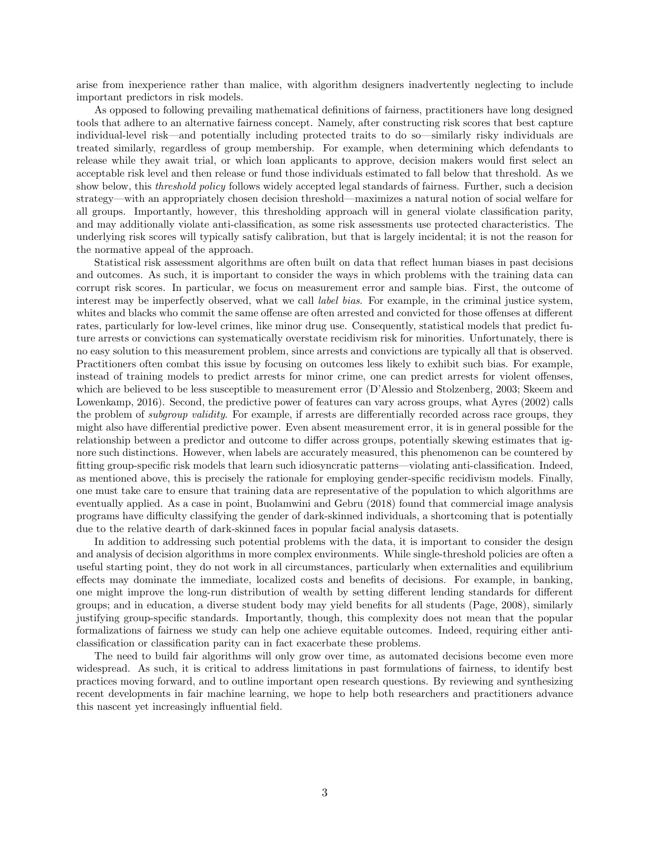arise from inexperience rather than malice, with algorithm designers inadvertently neglecting to include important predictors in risk models.

As opposed to following prevailing mathematical definitions of fairness, practitioners have long designed tools that adhere to an alternative fairness concept. Namely, after constructing risk scores that best capture individual-level risk—and potentially including protected traits to do so—similarly risky individuals are treated similarly, regardless of group membership. For example, when determining which defendants to release while they await trial, or which loan applicants to approve, decision makers would first select an acceptable risk level and then release or fund those individuals estimated to fall below that threshold. As we show below, this *threshold policy* follows widely accepted legal standards of fairness. Further, such a decision strategy—with an appropriately chosen decision threshold—maximizes a natural notion of social welfare for all groups. Importantly, however, this thresholding approach will in general violate classification parity, and may additionally violate anti-classification, as some risk assessments use protected characteristics. The underlying risk scores will typically satisfy calibration, but that is largely incidental; it is not the reason for the normative appeal of the approach.

Statistical risk assessment algorithms are often built on data that reflect human biases in past decisions and outcomes. As such, it is important to consider the ways in which problems with the training data can corrupt risk scores. In particular, we focus on measurement error and sample bias. First, the outcome of interest may be imperfectly observed, what we call *label bias*. For example, in the criminal justice system, whites and blacks who commit the same offense are often arrested and convicted for those offenses at different rates, particularly for low-level crimes, like minor drug use. Consequently, statistical models that predict future arrests or convictions can systematically overstate recidivism risk for minorities. Unfortunately, there is no easy solution to this measurement problem, since arrests and convictions are typically all that is observed. Practitioners often combat this issue by focusing on outcomes less likely to exhibit such bias. For example, instead of training models to predict arrests for minor crime, one can predict arrests for violent offenses, which are believed to be less susceptible to measurement error [\(D'Alessio and Stolzenberg, 2003;](#page-21-2) [Skeem and](#page-24-2) [Lowenkamp, 2016\)](#page-24-2). Second, the predictive power of features can vary across groups, what [Ayres](#page-20-2) [\(2002\)](#page-20-2) calls the problem of *subgroup validity*. For example, if arrests are differentially recorded across race groups, they might also have differential predictive power. Even absent measurement error, it is in general possible for the relationship between a predictor and outcome to differ across groups, potentially skewing estimates that ignore such distinctions. However, when labels are accurately measured, this phenomenon can be countered by fitting group-specific risk models that learn such idiosyncratic patterns—violating anti-classification. Indeed, as mentioned above, this is precisely the rationale for employing gender-specific recidivism models. Finally, one must take care to ensure that training data are representative of the population to which algorithms are eventually applied. As a case in point, [Buolamwini and Gebru](#page-21-3) [\(2018\)](#page-21-3) found that commercial image analysis programs have difficulty classifying the gender of dark-skinned individuals, a shortcoming that is potentially due to the relative dearth of dark-skinned faces in popular facial analysis datasets.

In addition to addressing such potential problems with the data, it is important to consider the design and analysis of decision algorithms in more complex environments. While single-threshold policies are often a useful starting point, they do not work in all circumstances, particularly when externalities and equilibrium effects may dominate the immediate, localized costs and benefits of decisions. For example, in banking, one might improve the long-run distribution of wealth by setting different lending standards for different groups; and in education, a diverse student body may yield benefits for all students [\(Page, 2008\)](#page-23-1), similarly justifying group-specific standards. Importantly, though, this complexity does not mean that the popular formalizations of fairness we study can help one achieve equitable outcomes. Indeed, requiring either anticlassification or classification parity can in fact exacerbate these problems.

The need to build fair algorithms will only grow over time, as automated decisions become even more widespread. As such, it is critical to address limitations in past formulations of fairness, to identify best practices moving forward, and to outline important open research questions. By reviewing and synthesizing recent developments in fair machine learning, we hope to help both researchers and practitioners advance this nascent yet increasingly influential field.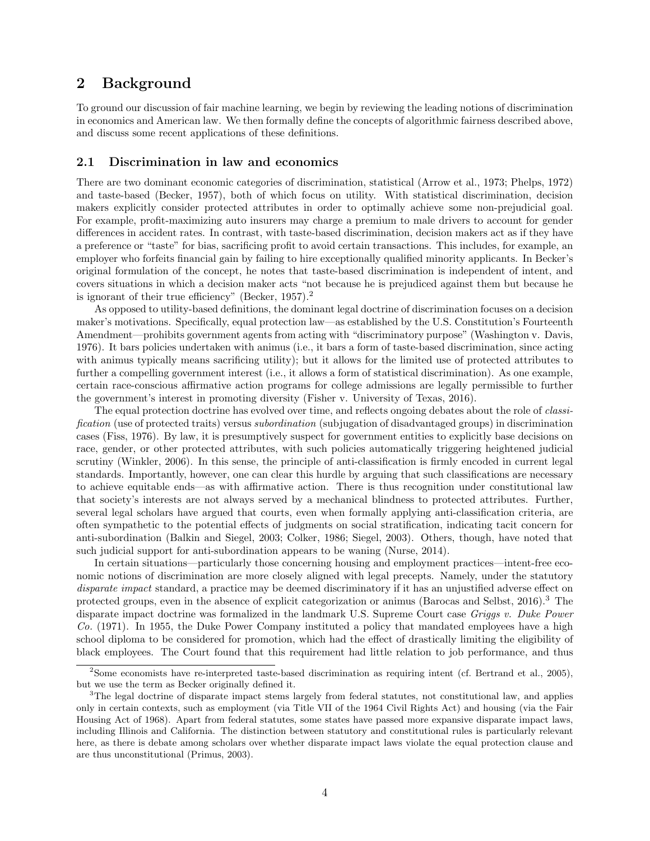### 2 Background

To ground our discussion of fair machine learning, we begin by reviewing the leading notions of discrimination in economics and American law. We then formally define the concepts of algorithmic fairness described above, and discuss some recent applications of these definitions.

#### 2.1 Discrimination in law and economics

There are two dominant economic categories of discrimination, statistical [\(Arrow et al., 1973;](#page-20-3) [Phelps, 1972\)](#page-23-2) and taste-based [\(Becker, 1957\)](#page-21-4), both of which focus on utility. With statistical discrimination, decision makers explicitly consider protected attributes in order to optimally achieve some non-prejudicial goal. For example, profit-maximizing auto insurers may charge a premium to male drivers to account for gender differences in accident rates. In contrast, with taste-based discrimination, decision makers act as if they have a preference or "taste" for bias, sacrificing profit to avoid certain transactions. This includes, for example, an employer who forfeits financial gain by failing to hire exceptionally qualified minority applicants. In Becker's original formulation of the concept, he notes that taste-based discrimination is independent of intent, and covers situations in which a decision maker acts "not because he is prejudiced against them but because he is ignorant of their true efficiency" [\(Becker, 1957\)](#page-21-4).[2](#page-3-0)

As opposed to utility-based definitions, the dominant legal doctrine of discrimination focuses on a decision maker's motivations. Specifically, equal protection law—as established by the U.S. Constitution's Fourteenth Amendment—prohibits government agents from acting with "discriminatory purpose" [\(Washington v. Davis,](#page-24-3) [1976\)](#page-24-3). It bars policies undertaken with animus (i.e., it bars a form of taste-based discrimination, since acting with animus typically means sacrificing utility); but it allows for the limited use of protected attributes to further a compelling government interest (i.e., it allows a form of statistical discrimination). As one example, certain race-conscious affirmative action programs for college admissions are legally permissible to further the government's interest in promoting diversity [\(Fisher v. University of Texas, 2016\)](#page-22-0).

The equal protection doctrine has evolved over time, and reflects ongoing debates about the role of *classi*fication (use of protected traits) versus subordination (subjugation of disadvantaged groups) in discrimination cases [\(Fiss, 1976\)](#page-22-1). By law, it is presumptively suspect for government entities to explicitly base decisions on race, gender, or other protected attributes, with such policies automatically triggering heightened judicial scrutiny [\(Winkler, 2006\)](#page-24-4). In this sense, the principle of anti-classification is firmly encoded in current legal standards. Importantly, however, one can clear this hurdle by arguing that such classifications are necessary to achieve equitable ends—as with affirmative action. There is thus recognition under constitutional law that society's interests are not always served by a mechanical blindness to protected attributes. Further, several legal scholars have argued that courts, even when formally applying anti-classification criteria, are often sympathetic to the potential effects of judgments on social stratification, indicating tacit concern for anti-subordination [\(Balkin and Siegel, 2003;](#page-20-4) [Colker, 1986;](#page-21-5) [Siegel, 2003\)](#page-24-5). Others, though, have noted that such judicial support for anti-subordination appears to be waning [\(Nurse, 2014\)](#page-23-3).

In certain situations—particularly those concerning housing and employment practices—intent-free economic notions of discrimination are more closely aligned with legal precepts. Namely, under the statutory disparate impact standard, a practice may be deemed discriminatory if it has an unjustified adverse effect on protected groups, even in the absence of explicit categorization or animus [\(Barocas and Selbst, 2016\)](#page-20-0).[3](#page-3-1) The disparate impact doctrine was formalized in the landmark U.S. Supreme Court case Griggs v. Duke Power Co. [\(1971\)](#page-22-2). In 1955, the Duke Power Company instituted a policy that mandated employees have a high school diploma to be considered for promotion, which had the effect of drastically limiting the eligibility of black employees. The Court found that this requirement had little relation to job performance, and thus

<span id="page-3-0"></span><sup>2</sup>Some economists have re-interpreted taste-based discrimination as requiring intent (cf. [Bertrand et al., 2005\)](#page-21-6), but we use the term as Becker originally defined it.

<span id="page-3-1"></span><sup>&</sup>lt;sup>3</sup>The legal doctrine of disparate impact stems largely from federal statutes, not constitutional law, and applies only in certain contexts, such as employment (via Title VII of the 1964 Civil Rights Act) and housing (via the Fair Housing Act of 1968). Apart from federal statutes, some states have passed more expansive disparate impact laws, including Illinois and California. The distinction between statutory and constitutional rules is particularly relevant here, as there is debate among scholars over whether disparate impact laws violate the equal protection clause and are thus unconstitutional [\(Primus, 2003\)](#page-24-6).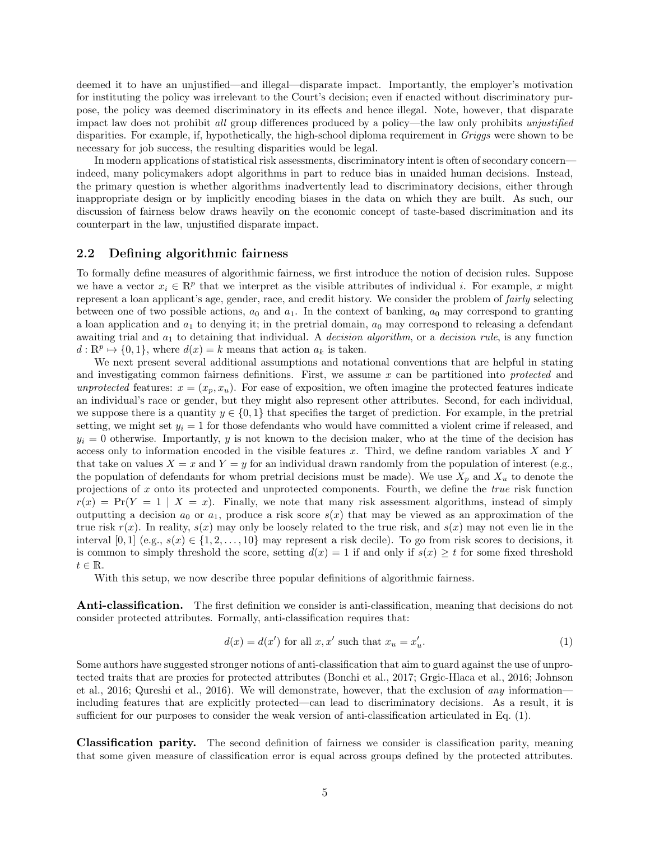deemed it to have an unjustified—and illegal—disparate impact. Importantly, the employer's motivation for instituting the policy was irrelevant to the Court's decision; even if enacted without discriminatory purpose, the policy was deemed discriminatory in its effects and hence illegal. Note, however, that disparate impact law does not prohibit all group differences produced by a policy—the law only prohibits unjustified disparities. For example, if, hypothetically, the high-school diploma requirement in Griggs were shown to be necessary for job success, the resulting disparities would be legal.

In modern applications of statistical risk assessments, discriminatory intent is often of secondary concern indeed, many policymakers adopt algorithms in part to reduce bias in unaided human decisions. Instead, the primary question is whether algorithms inadvertently lead to discriminatory decisions, either through inappropriate design or by implicitly encoding biases in the data on which they are built. As such, our discussion of fairness below draws heavily on the economic concept of taste-based discrimination and its counterpart in the law, unjustified disparate impact.

#### 2.2 Defining algorithmic fairness

To formally define measures of algorithmic fairness, we first introduce the notion of decision rules. Suppose we have a vector  $x_i \in \mathbb{R}^p$  that we interpret as the visible attributes of individual i. For example, x might represent a loan applicant's age, gender, race, and credit history. We consider the problem of fairly selecting between one of two possible actions,  $a_0$  and  $a_1$ . In the context of banking,  $a_0$  may correspond to granting a loan application and  $a_1$  to denying it; in the pretrial domain,  $a_0$  may correspond to releasing a defendant awaiting trial and  $a_1$  to detaining that individual. A *decision algorithm*, or a *decision rule*, is any function  $d: \mathbb{R}^p \mapsto \{0,1\}$ , where  $d(x) = k$  means that action  $a_k$  is taken.

We next present several additional assumptions and notational conventions that are helpful in stating and investigating common fairness definitions. First, we assume x can be partitioned into protected and unprotected features:  $x = (x_p, x_u)$ . For ease of exposition, we often imagine the protected features indicate an individual's race or gender, but they might also represent other attributes. Second, for each individual, we suppose there is a quantity  $y \in \{0,1\}$  that specifies the target of prediction. For example, in the pretrial setting, we might set  $y_i = 1$  for those defendants who would have committed a violent crime if released, and  $y_i = 0$  otherwise. Importantly, y is not known to the decision maker, who at the time of the decision has access only to information encoded in the visible features x. Third, we define random variables  $X$  and Y that take on values  $X = x$  and  $Y = y$  for an individual drawn randomly from the population of interest (e.g., the population of defendants for whom pretrial decisions must be made). We use  $X_p$  and  $X_u$  to denote the projections of x onto its protected and unprotected components. Fourth, we define the true risk function  $r(x) = Pr(Y = 1 | X = x)$ . Finally, we note that many risk assessment algorithms, instead of simply outputting a decision  $a_0$  or  $a_1$ , produce a risk score  $s(x)$  that may be viewed as an approximation of the true risk  $r(x)$ . In reality,  $s(x)$  may only be loosely related to the true risk, and  $s(x)$  may not even lie in the interval [0, 1] (e.g.,  $s(x) \in \{1, 2, ..., 10\}$  may represent a risk decile). To go from risk scores to decisions, it is common to simply threshold the score, setting  $d(x) = 1$  if and only if  $s(x) \geq t$  for some fixed threshold  $t \in \mathbb{R}$ .

With this setup, we now describe three popular definitions of algorithmic fairness.

Anti-classification. The first definition we consider is anti-classification, meaning that decisions do not consider protected attributes. Formally, anti-classification requires that:

<span id="page-4-0"></span>
$$
d(x) = d(x') \text{ for all } x, x' \text{ such that } x_u = x'_u. \tag{1}
$$

Some authors have suggested stronger notions of anti-classification that aim to guard against the use of unprotected traits that are proxies for protected attributes [\(Bonchi et al., 2017;](#page-21-7) [Grgic-Hlaca et al., 2016;](#page-22-3) [Johnson](#page-22-4) [et al., 2016;](#page-22-4) [Qureshi et al., 2016\)](#page-24-7). We will demonstrate, however, that the exclusion of any information including features that are explicitly protected—can lead to discriminatory decisions. As a result, it is sufficient for our purposes to consider the weak version of anti-classification articulated in Eq. [\(1\)](#page-4-0).

Classification parity. The second definition of fairness we consider is classification parity, meaning that some given measure of classification error is equal across groups defined by the protected attributes.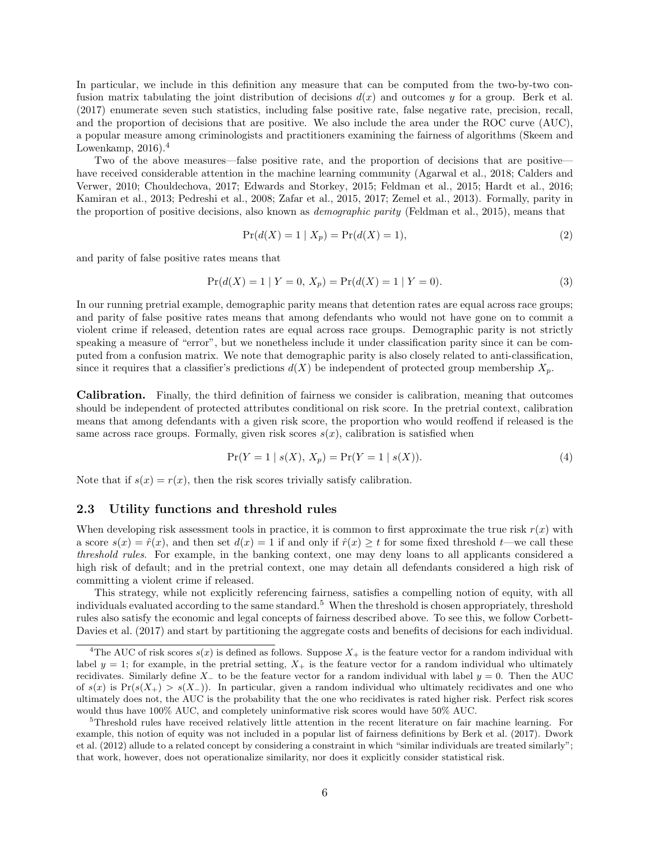In particular, we include in this definition any measure that can be computed from the two-by-two confusion matrix tabulating the joint distribution of decisions  $d(x)$  and outcomes y for a group. [Berk et al.](#page-21-8) [\(2017\)](#page-21-8) enumerate seven such statistics, including false positive rate, false negative rate, precision, recall, and the proportion of decisions that are positive. We also include the area under the ROC curve (AUC), a popular measure among criminologists and practitioners examining the fairness of algorithms [\(Skeem and](#page-24-2) Lowenkamp,  $2016$ .<sup>[4](#page-5-0)</sup>

Two of the above measures—false positive rate, and the proportion of decisions that are positive have received considerable attention in the machine learning community [\(Agarwal et al., 2018;](#page-20-5) [Calders and](#page-21-9) [Verwer, 2010;](#page-21-9) [Chouldechova, 2017;](#page-21-10) [Edwards and Storkey, 2015;](#page-22-5) [Feldman et al., 2015;](#page-22-6) [Hardt et al., 2016;](#page-22-7) [Kamiran et al., 2013;](#page-22-8) [Pedreshi et al., 2008;](#page-23-4) [Zafar et al., 2015,](#page-24-8) [2017;](#page-24-9) [Zemel et al., 2013\)](#page-24-10). Formally, parity in the proportion of positive decisions, also known as demographic parity [\(Feldman et al., 2015\)](#page-22-6), means that

$$
Pr(d(X) = 1 | X_p) = Pr(d(X) = 1),
$$
\n(2)

and parity of false positive rates means that

$$
Pr(d(X) = 1 | Y = 0, X_p) = Pr(d(X) = 1 | Y = 0).
$$
\n(3)

In our running pretrial example, demographic parity means that detention rates are equal across race groups; and parity of false positive rates means that among defendants who would not have gone on to commit a violent crime if released, detention rates are equal across race groups. Demographic parity is not strictly speaking a measure of "error", but we nonetheless include it under classification parity since it can be computed from a confusion matrix. We note that demographic parity is also closely related to anti-classification, since it requires that a classifier's predictions  $d(X)$  be independent of protected group membership  $X_p$ .

Calibration. Finally, the third definition of fairness we consider is calibration, meaning that outcomes should be independent of protected attributes conditional on risk score. In the pretrial context, calibration means that among defendants with a given risk score, the proportion who would reoffend if released is the same across race groups. Formally, given risk scores  $s(x)$ , calibration is satisfied when

$$
\Pr(Y = 1 \mid s(X), X_p) = \Pr(Y = 1 \mid s(X)).\tag{4}
$$

Note that if  $s(x) = r(x)$ , then the risk scores trivially satisfy calibration.

#### <span id="page-5-2"></span>2.3 Utility functions and threshold rules

When developing risk assessment tools in practice, it is common to first approximate the true risk  $r(x)$  with a score  $s(x) = \hat{r}(x)$ , and then set  $d(x) = 1$  if and only if  $\hat{r}(x) \ge t$  for some fixed threshold  $t$ —we call these threshold rules. For example, in the banking context, one may deny loans to all applicants considered a high risk of default; and in the pretrial context, one may detain all defendants considered a high risk of committing a violent crime if released.

This strategy, while not explicitly referencing fairness, satisfies a compelling notion of equity, with all individuals evaluated according to the same standard.<sup>[5](#page-5-1)</sup> When the threshold is chosen appropriately, threshold rules also satisfy the economic and legal concepts of fairness described above. To see this, we follow [Corbett-](#page-21-11)[Davies et al.](#page-21-11) [\(2017\)](#page-21-11) and start by partitioning the aggregate costs and benefits of decisions for each individual.

<span id="page-5-0"></span><sup>&</sup>lt;sup>4</sup>The AUC of risk scores  $s(x)$  is defined as follows. Suppose  $X_{+}$  is the feature vector for a random individual with label  $y = 1$ ; for example, in the pretrial setting,  $X_+$  is the feature vector for a random individual who ultimately recidivates. Similarly define X<sub>−</sub> to be the feature vector for a random individual with label  $y = 0$ . Then the AUC of  $s(x)$  is  $Pr(s(X_+) > s(X_-))$ . In particular, given a random individual who ultimately recidivates and one who ultimately does not, the AUC is the probability that the one who recidivates is rated higher risk. Perfect risk scores would thus have 100% AUC, and completely uninformative risk scores would have 50% AUC.

<span id="page-5-1"></span><sup>5</sup>Threshold rules have received relatively little attention in the recent literature on fair machine learning. For example, this notion of equity was not included in a popular list of fairness definitions by [Berk et al.](#page-21-8) [\(2017\)](#page-21-8). [Dwork](#page-22-9) [et al.](#page-22-9) [\(2012\)](#page-22-9) allude to a related concept by considering a constraint in which "similar individuals are treated similarly"; that work, however, does not operationalize similarity, nor does it explicitly consider statistical risk.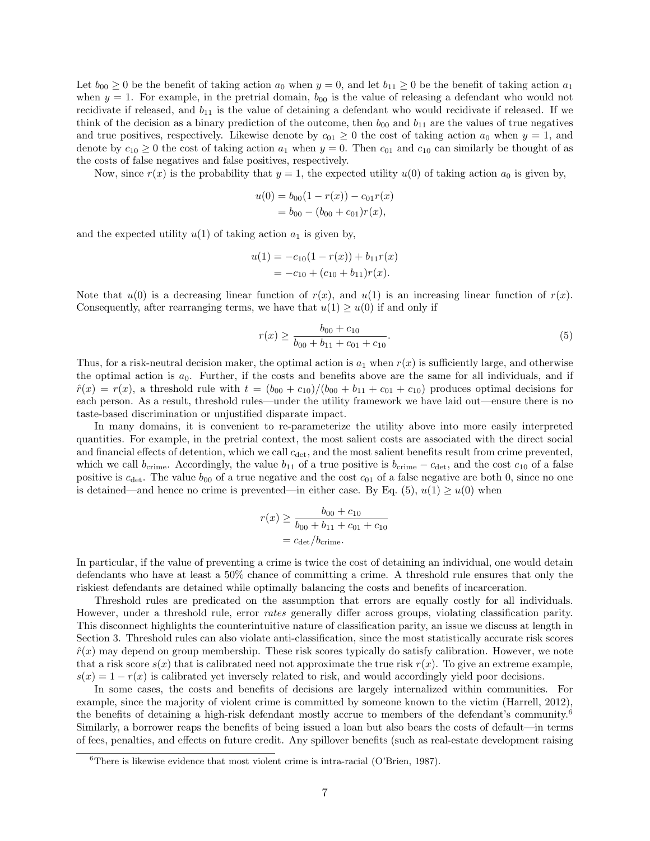Let  $b_{00} \geq 0$  be the benefit of taking action  $a_0$  when  $y = 0$ , and let  $b_{11} \geq 0$  be the benefit of taking action  $a_1$ when  $y = 1$ . For example, in the pretrial domain,  $b_{00}$  is the value of releasing a defendant who would not recidivate if released, and  $b_{11}$  is the value of detaining a defendant who would recidivate if released. If we think of the decision as a binary prediction of the outcome, then  $b_{00}$  and  $b_{11}$  are the values of true negatives and true positives, respectively. Likewise denote by  $c_{01} \geq 0$  the cost of taking action  $a_0$  when  $y = 1$ , and denote by  $c_{10} \ge 0$  the cost of taking action  $a_1$  when  $y = 0$ . Then  $c_{01}$  and  $c_{10}$  can similarly be thought of as the costs of false negatives and false positives, respectively.

Now, since  $r(x)$  is the probability that  $y = 1$ , the expected utility  $u(0)$  of taking action  $a_0$  is given by,

$$
u(0) = b_{00}(1 - r(x)) - c_{01}r(x)
$$
  
=  $b_{00} - (b_{00} + c_{01})r(x)$ ,

and the expected utility  $u(1)$  of taking action  $a_1$  is given by,

$$
u(1) = -c_{10}(1 - r(x)) + b_{11}r(x)
$$
  
= -c\_{10} + (c\_{10} + b\_{11})r(x).

Note that  $u(0)$  is a decreasing linear function of  $r(x)$ , and  $u(1)$  is an increasing linear function of  $r(x)$ . Consequently, after rearranging terms, we have that  $u(1) \geq u(0)$  if and only if

<span id="page-6-0"></span>
$$
r(x) \ge \frac{b_{00} + c_{10}}{b_{00} + b_{11} + c_{01} + c_{10}}.\tag{5}
$$

Thus, for a risk-neutral decision maker, the optimal action is  $a_1$  when  $r(x)$  is sufficiently large, and otherwise the optimal action is  $a_0$ . Further, if the costs and benefits above are the same for all individuals, and if  $\hat{r}(x) = r(x)$ , a threshold rule with  $t = (b_{00} + c_{10})/(b_{00} + b_{11} + c_{01} + c_{10})$  produces optimal decisions for each person. As a result, threshold rules—under the utility framework we have laid out—ensure there is no taste-based discrimination or unjustified disparate impact.

In many domains, it is convenient to re-parameterize the utility above into more easily interpreted quantities. For example, in the pretrial context, the most salient costs are associated with the direct social and financial effects of detention, which we call  $c_{\text{det}}$ , and the most salient benefits result from crime prevented, which we call  $b_{\text{crime}}$ . Accordingly, the value  $b_{11}$  of a true positive is  $b_{\text{crime}} - c_{\text{det}}$ , and the cost  $c_{10}$  of a false positive is  $c_{\text{det}}$ . The value  $b_{00}$  of a true negative and the cost  $c_{01}$  of a false negative are both 0, since no one is detained—and hence no crime is prevented—in either case. By Eq. [\(5\)](#page-6-0),  $u(1) \ge u(0)$  when

$$
r(x) \ge \frac{b_{00} + c_{10}}{b_{00} + b_{11} + c_{01} + c_{10}}
$$
  
=  $c_{\text{det}}/b_{\text{crime}}$ .

In particular, if the value of preventing a crime is twice the cost of detaining an individual, one would detain defendants who have at least a 50% chance of committing a crime. A threshold rule ensures that only the riskiest defendants are detained while optimally balancing the costs and benefits of incarceration.

Threshold rules are predicated on the assumption that errors are equally costly for all individuals. However, under a threshold rule, error rates generally differ across groups, violating classification parity. This disconnect highlights the counterintuitive nature of classification parity, an issue we discuss at length in Section [3.](#page-8-0) Threshold rules can also violate anti-classification, since the most statistically accurate risk scores  $\hat{r}(x)$  may depend on group membership. These risk scores typically do satisfy calibration. However, we note that a risk score  $s(x)$  that is calibrated need not approximate the true risk  $r(x)$ . To give an extreme example,  $s(x) = 1 - r(x)$  is calibrated yet inversely related to risk, and would accordingly yield poor decisions.

In some cases, the costs and benefits of decisions are largely internalized within communities. For example, since the majority of violent crime is committed by someone known to the victim [\(Harrell, 2012\)](#page-22-10), the benefits of detaining a high-risk defendant mostly accrue to members of the defendant's community.[6](#page-6-1) Similarly, a borrower reaps the benefits of being issued a loan but also bears the costs of default—in terms of fees, penalties, and effects on future credit. Any spillover benefits (such as real-estate development raising

<span id="page-6-1"></span> ${}^{6}$ There is likewise evidence that most violent crime is intra-racial [\(O'Brien, 1987\)](#page-23-5).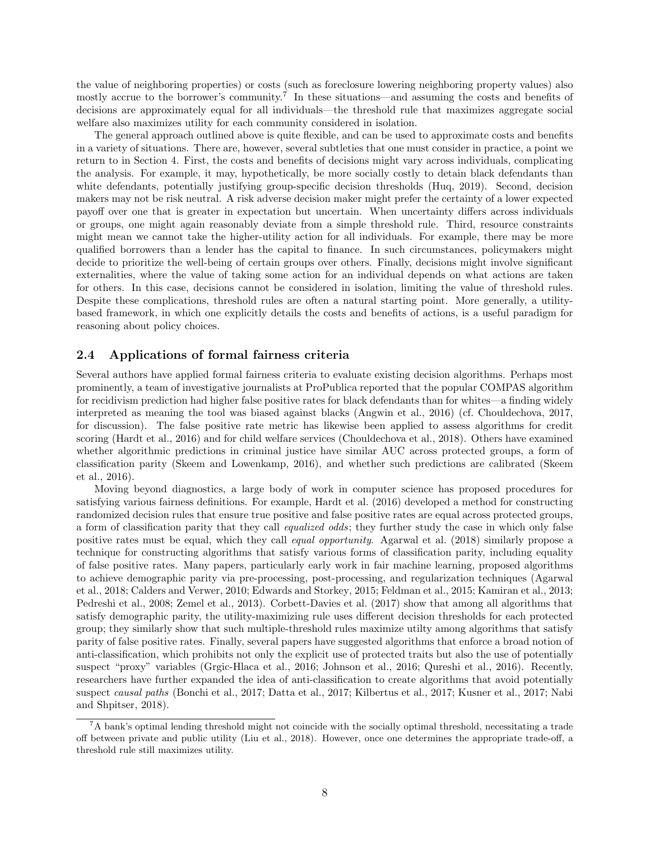the value of neighboring properties) or costs (such as foreclosure lowering neighboring property values) also mostly accrue to the borrower's community.<sup>[7](#page-7-0)</sup> In these situations—and assuming the costs and benefits of decisions are approximately equal for all individuals—the threshold rule that maximizes aggregate social welfare also maximizes utility for each community considered in isolation.

The general approach outlined above is quite flexible, and can be used to approximate costs and benefits in a variety of situations. There are, however, several subtleties that one must consider in practice, a point we return to in Section [4.](#page-16-0) First, the costs and benefits of decisions might vary across individuals, complicating the analysis. For example, it may, hypothetically, be more socially costly to detain black defendants than white defendants, potentially justifying group-specific decision thresholds [\(Huq, 2019\)](#page-22-11). Second, decision makers may not be risk neutral. A risk adverse decision maker might prefer the certainty of a lower expected payoff over one that is greater in expectation but uncertain. When uncertainty differs across individuals or groups, one might again reasonably deviate from a simple threshold rule. Third, resource constraints might mean we cannot take the higher-utility action for all individuals. For example, there may be more qualified borrowers than a lender has the capital to finance. In such circumstances, policymakers might decide to prioritize the well-being of certain groups over others. Finally, decisions might involve significant externalities, where the value of taking some action for an individual depends on what actions are taken for others. In this case, decisions cannot be considered in isolation, limiting the value of threshold rules. Despite these complications, threshold rules are often a natural starting point. More generally, a utilitybased framework, in which one explicitly details the costs and benefits of actions, is a useful paradigm for reasoning about policy choices.

### 2.4 Applications of formal fairness criteria

Several authors have applied formal fairness criteria to evaluate existing decision algorithms. Perhaps most prominently, a team of investigative journalists at ProPublica reported that the popular COMPAS algorithm for recidivism prediction had higher false positive rates for black defendants than for whites—a finding widely interpreted as meaning the tool was biased against blacks [\(Angwin et al., 2016\)](#page-20-1) (cf. [Chouldechova, 2017,](#page-21-10) for discussion). The false positive rate metric has likewise been applied to assess algorithms for credit scoring [\(Hardt et al., 2016\)](#page-22-7) and for child welfare services [\(Chouldechova et al., 2018\)](#page-21-1). Others have examined whether algorithmic predictions in criminal justice have similar AUC across protected groups, a form of classification parity [\(Skeem and Lowenkamp, 2016\)](#page-24-2), and whether such predictions are calibrated [\(Skeem](#page-24-11) [et al., 2016\)](#page-24-11).

Moving beyond diagnostics, a large body of work in computer science has proposed procedures for satisfying various fairness definitions. For example, [Hardt et al.](#page-22-7) [\(2016\)](#page-22-7) developed a method for constructing randomized decision rules that ensure true positive and false positive rates are equal across protected groups, a form of classification parity that they call equalized odds; they further study the case in which only false positive rates must be equal, which they call equal opportunity. [Agarwal et al.](#page-20-5) [\(2018\)](#page-20-5) similarly propose a technique for constructing algorithms that satisfy various forms of classification parity, including equality of false positive rates. Many papers, particularly early work in fair machine learning, proposed algorithms to achieve demographic parity via pre-processing, post-processing, and regularization techniques [\(Agarwal](#page-20-5) [et al., 2018;](#page-20-5) [Calders and Verwer, 2010;](#page-21-9) [Edwards and Storkey, 2015;](#page-22-5) [Feldman et al., 2015;](#page-22-6) [Kamiran et al., 2013;](#page-22-8) [Pedreshi et al., 2008;](#page-23-4) [Zemel et al., 2013\)](#page-24-10). [Corbett-Davies et al.](#page-21-11) [\(2017\)](#page-21-11) show that among all algorithms that satisfy demographic parity, the utility-maximizing rule uses different decision thresholds for each protected group; they similarly show that such multiple-threshold rules maximize utilty among algorithms that satisfy parity of false positive rates. Finally, several papers have suggested algorithms that enforce a broad notion of anti-classification, which prohibits not only the explicit use of protected traits but also the use of potentially suspect "proxy" variables [\(Grgic-Hlaca et al., 2016;](#page-22-3) [Johnson et al., 2016;](#page-22-4) [Qureshi et al., 2016\)](#page-24-7). Recently, researchers have further expanded the idea of anti-classification to create algorithms that avoid potentially suspect causal paths [\(Bonchi et al., 2017;](#page-21-7) [Datta et al., 2017;](#page-21-12) [Kilbertus et al., 2017;](#page-23-6) [Kusner et al., 2017;](#page-23-7) [Nabi](#page-23-8) [and Shpitser, 2018\)](#page-23-8).

<span id="page-7-0"></span> ${}^{7}$ A bank's optimal lending threshold might not coincide with the socially optimal threshold, necessitating a trade off between private and public utility [\(Liu et al., 2018\)](#page-23-9). However, once one determines the appropriate trade-off, a threshold rule still maximizes utility.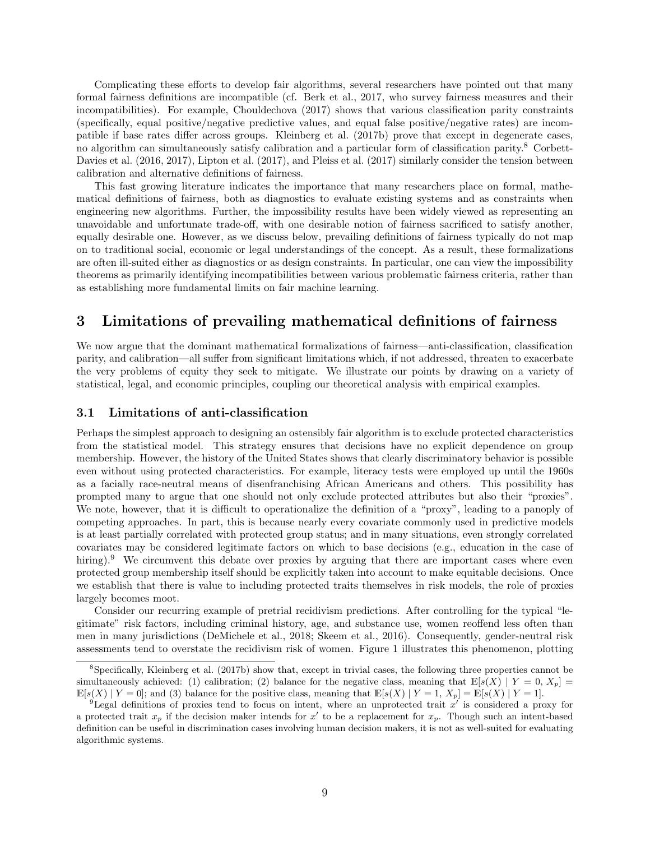Complicating these efforts to develop fair algorithms, several researchers have pointed out that many formal fairness definitions are incompatible (cf. [Berk et al., 2017,](#page-21-8) who survey fairness measures and their incompatibilities). For example, [Chouldechova](#page-21-10) [\(2017\)](#page-21-10) shows that various classification parity constraints (specifically, equal positive/negative predictive values, and equal false positive/negative rates) are incompatible if base rates differ across groups. [Kleinberg et al.](#page-23-10) [\(2017b\)](#page-23-10) prove that except in degenerate cases, no algorithm can simultaneously satisfy calibration and a particular form of classification parity.[8](#page-8-1) [Corbett-](#page-21-13)[Davies et al.](#page-21-13) [\(2016,](#page-21-13) [2017\)](#page-21-11), [Lipton et al.](#page-23-11) [\(2017\)](#page-23-12), and [Pleiss et al.](#page-23-12) (2017) similarly consider the tension between calibration and alternative definitions of fairness.

This fast growing literature indicates the importance that many researchers place on formal, mathematical definitions of fairness, both as diagnostics to evaluate existing systems and as constraints when engineering new algorithms. Further, the impossibility results have been widely viewed as representing an unavoidable and unfortunate trade-off, with one desirable notion of fairness sacrificed to satisfy another, equally desirable one. However, as we discuss below, prevailing definitions of fairness typically do not map on to traditional social, economic or legal understandings of the concept. As a result, these formalizations are often ill-suited either as diagnostics or as design constraints. In particular, one can view the impossibility theorems as primarily identifying incompatibilities between various problematic fairness criteria, rather than as establishing more fundamental limits on fair machine learning.

### <span id="page-8-0"></span>3 Limitations of prevailing mathematical definitions of fairness

We now argue that the dominant mathematical formalizations of fairness—anti-classification, classification parity, and calibration—all suffer from significant limitations which, if not addressed, threaten to exacerbate the very problems of equity they seek to mitigate. We illustrate our points by drawing on a variety of statistical, legal, and economic principles, coupling our theoretical analysis with empirical examples.

#### <span id="page-8-3"></span>3.1 Limitations of anti-classification

Perhaps the simplest approach to designing an ostensibly fair algorithm is to exclude protected characteristics from the statistical model. This strategy ensures that decisions have no explicit dependence on group membership. However, the history of the United States shows that clearly discriminatory behavior is possible even without using protected characteristics. For example, literacy tests were employed up until the 1960s as a facially race-neutral means of disenfranchising African Americans and others. This possibility has prompted many to argue that one should not only exclude protected attributes but also their "proxies". We note, however, that it is difficult to operationalize the definition of a "proxy", leading to a panoply of competing approaches. In part, this is because nearly every covariate commonly used in predictive models is at least partially correlated with protected group status; and in many situations, even strongly correlated covariates may be considered legitimate factors on which to base decisions (e.g., education in the case of hiring).<sup>[9](#page-8-2)</sup> We circumvent this debate over proxies by arguing that there are important cases where even protected group membership itself should be explicitly taken into account to make equitable decisions. Once we establish that there is value to including protected traits themselves in risk models, the role of proxies largely becomes moot.

Consider our recurring example of pretrial recidivism predictions. After controlling for the typical "legitimate" risk factors, including criminal history, age, and substance use, women reoffend less often than men in many jurisdictions [\(DeMichele et al., 2018;](#page-21-14) [Skeem et al., 2016\)](#page-24-11). Consequently, gender-neutral risk assessments tend to overstate the recidivism risk of women. Figure [1](#page-9-0) illustrates this phenomenon, plotting

<span id="page-8-1"></span> ${}^8$ Specifically, [Kleinberg et al.](#page-23-10) [\(2017b\)](#page-23-10) show that, except in trivial cases, the following three properties cannot be simultaneously achieved: (1) calibration; (2) balance for the negative class, meaning that  $\mathbb{E}[s(X) | Y = 0, X_p] =$  $\mathbb{E}[s(X) | Y = 0]$ ; and (3) balance for the positive class, meaning that  $\mathbb{E}[s(X) | Y = 1, X_p] = \mathbb{E}[s(X) | Y = 1]$ .

<span id="page-8-2"></span><sup>&</sup>lt;sup>9</sup>Legal definitions of proxies tend to focus on intent, where an unprotected trait  $x'$  is considered a proxy for a protected trait  $x_p$  if the decision maker intends for  $x'$  to be a replacement for  $x_p$ . Though such an intent-based definition can be useful in discrimination cases involving human decision makers, it is not as well-suited for evaluating algorithmic systems.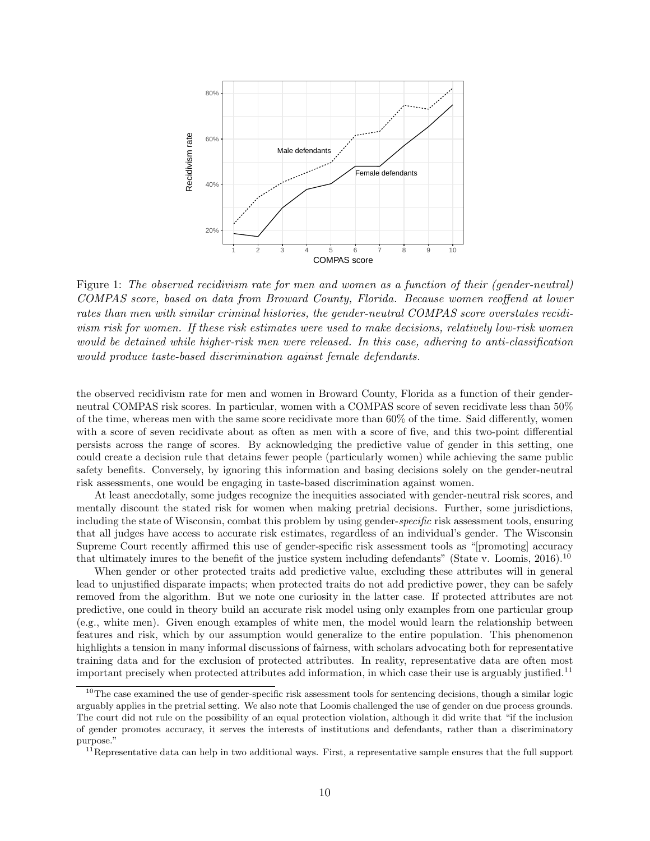<span id="page-9-0"></span>

Figure 1: The observed recidivism rate for men and women as a function of their (gender-neutral) COMPAS score, based on data from Broward County, Florida. Because women reoffend at lower rates than men with similar criminal histories, the gender-neutral COMPAS score overstates recidivism risk for women. If these risk estimates were used to make decisions, relatively low-risk women would be detained while higher-risk men were released. In this case, adhering to anti-classification would produce taste-based discrimination against female defendants.

the observed recidivism rate for men and women in Broward County, Florida as a function of their genderneutral COMPAS risk scores. In particular, women with a COMPAS score of seven recidivate less than 50% of the time, whereas men with the same score recidivate more than 60% of the time. Said differently, women with a score of seven recidivate about as often as men with a score of five, and this two-point differential persists across the range of scores. By acknowledging the predictive value of gender in this setting, one could create a decision rule that detains fewer people (particularly women) while achieving the same public safety benefits. Conversely, by ignoring this information and basing decisions solely on the gender-neutral risk assessments, one would be engaging in taste-based discrimination against women.

At least anecdotally, some judges recognize the inequities associated with gender-neutral risk scores, and mentally discount the stated risk for women when making pretrial decisions. Further, some jurisdictions, including the state of Wisconsin, combat this problem by using gender-specific risk assessment tools, ensuring that all judges have access to accurate risk estimates, regardless of an individual's gender. The Wisconsin Supreme Court recently affirmed this use of gender-specific risk assessment tools as "[promoting] accuracy that ultimately inures to the benefit of the justice system including defendants" [\(State v. Loomis, 2016\)](#page-24-12).[10](#page-9-1)

When gender or other protected traits add predictive value, excluding these attributes will in general lead to unjustified disparate impacts; when protected traits do not add predictive power, they can be safely removed from the algorithm. But we note one curiosity in the latter case. If protected attributes are not predictive, one could in theory build an accurate risk model using only examples from one particular group (e.g., white men). Given enough examples of white men, the model would learn the relationship between features and risk, which by our assumption would generalize to the entire population. This phenomenon highlights a tension in many informal discussions of fairness, with scholars advocating both for representative training data and for the exclusion of protected attributes. In reality, representative data are often most important precisely when protected attributes add information, in which case their use is arguably justified.[11](#page-9-2)

<span id="page-9-1"></span> $10$ The case examined the use of gender-specific risk assessment tools for sentencing decisions, though a similar logic arguably applies in the pretrial setting. We also note that Loomis challenged the use of gender on due process grounds. The court did not rule on the possibility of an equal protection violation, although it did write that "if the inclusion of gender promotes accuracy, it serves the interests of institutions and defendants, rather than a discriminatory purpose."

<span id="page-9-2"></span><sup>&</sup>lt;sup>11</sup>Representative data can help in two additional ways. First, a representative sample ensures that the full support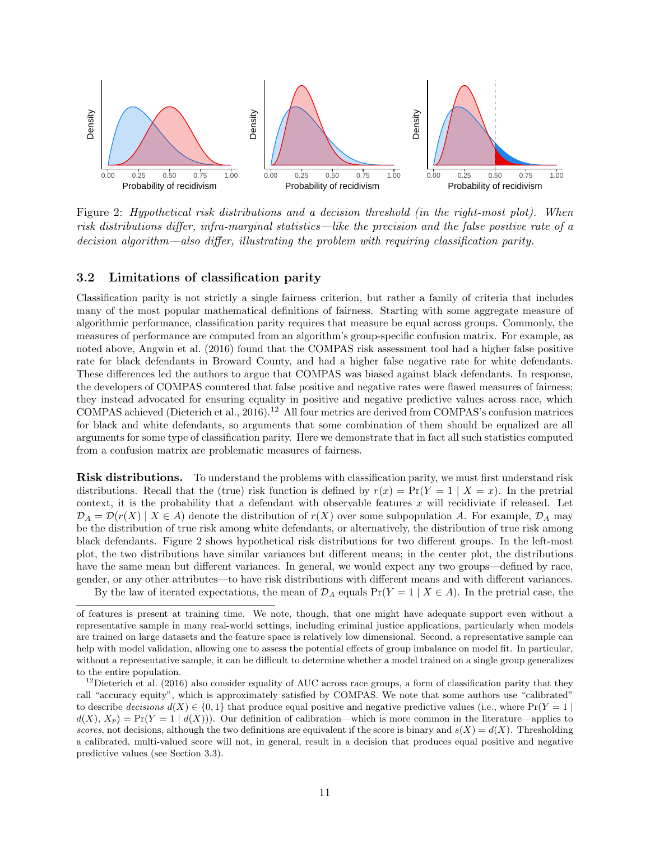<span id="page-10-1"></span>

Figure 2: Hypothetical risk distributions and a decision threshold (in the right-most plot). When risk distributions differ, infra-marginal statistics—like the precision and the false positive rate of a decision algorithm—also differ, illustrating the problem with requiring classification parity.

### <span id="page-10-2"></span>3.2 Limitations of classification parity

Classification parity is not strictly a single fairness criterion, but rather a family of criteria that includes many of the most popular mathematical definitions of fairness. Starting with some aggregate measure of algorithmic performance, classification parity requires that measure be equal across groups. Commonly, the measures of performance are computed from an algorithm's group-specific confusion matrix. For example, as noted above, [Angwin et al.](#page-20-1) [\(2016\)](#page-20-1) found that the COMPAS risk assessment tool had a higher false positive rate for black defendants in Broward County, and had a higher false negative rate for white defendants. These differences led the authors to argue that COMPAS was biased against black defendants. In response, the developers of COMPAS countered that false positive and negative rates were flawed measures of fairness; they instead advocated for ensuring equality in positive and negative predictive values across race, which COMPAS achieved [\(Dieterich et al., 2016\)](#page-21-15).[12](#page-10-0) All four metrics are derived from COMPAS's confusion matrices for black and white defendants, so arguments that some combination of them should be equalized are all arguments for some type of classification parity. Here we demonstrate that in fact all such statistics computed from a confusion matrix are problematic measures of fairness.

Risk distributions. To understand the problems with classification parity, we must first understand risk distributions. Recall that the (true) risk function is defined by  $r(x) = Pr(Y = 1 | X = x)$ . In the pretrial context, it is the probability that a defendant with observable features  $x$  will recidiviate if released. Let  $\mathcal{D}_A = \mathcal{D}(r(X) | X \in A)$  denote the distribution of  $r(X)$  over some subpopulation A. For example,  $\mathcal{D}_A$  may be the distribution of true risk among white defendants, or alternatively, the distribution of true risk among black defendants. Figure [2](#page-10-1) shows hypothetical risk distributions for two different groups. In the left-most plot, the two distributions have similar variances but different means; in the center plot, the distributions have the same mean but different variances. In general, we would expect any two groups—defined by race, gender, or any other attributes—to have risk distributions with different means and with different variances.

By the law of iterated expectations, the mean of  $\mathcal{D}_A$  equals  $Pr(Y = 1 | X \in A)$ . In the pretrial case, the

of features is present at training time. We note, though, that one might have adequate support even without a representative sample in many real-world settings, including criminal justice applications, particularly when models are trained on large datasets and the feature space is relatively low dimensional. Second, a representative sample can help with model validation, allowing one to assess the potential effects of group imbalance on model fit. In particular, without a representative sample, it can be difficult to determine whether a model trained on a single group generalizes to the entire population.

<span id="page-10-0"></span> $12$ [Dieterich et al.](#page-21-15) [\(2016\)](#page-21-15) also consider equality of AUC across race groups, a form of classification parity that they call "accuracy equity", which is approximately satisfied by COMPAS. We note that some authors use "calibrated" to describe decisions  $d(X) \in \{0,1\}$  that produce equal positive and negative predictive values (i.e., where  $Pr(Y = 1)$  $d(X), X_p) = Pr(Y = 1 | d(X))$ . Our definition of calibration—which is more common in the literature—applies to scores, not decisions, although the two definitions are equivalent if the score is binary and  $s(X) = d(X)$ . Thresholding a calibrated, multi-valued score will not, in general, result in a decision that produces equal positive and negative predictive values (see Section [3.3\)](#page-15-0).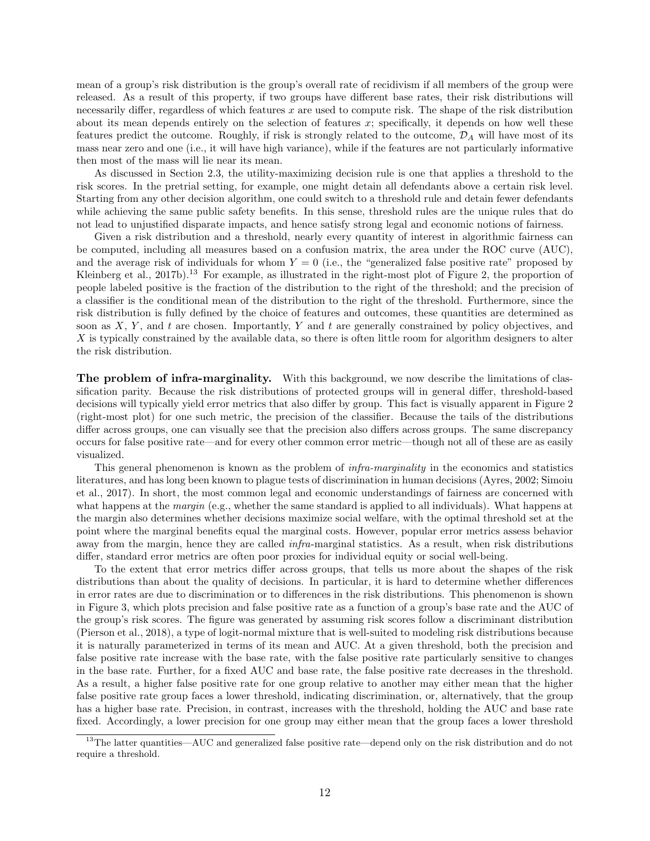mean of a group's risk distribution is the group's overall rate of recidivism if all members of the group were released. As a result of this property, if two groups have different base rates, their risk distributions will necessarily differ, regardless of which features  $x$  are used to compute risk. The shape of the risk distribution about its mean depends entirely on the selection of features  $x$ ; specifically, it depends on how well these features predict the outcome. Roughly, if risk is strongly related to the outcome,  $\mathcal{D}_A$  will have most of its mass near zero and one (i.e., it will have high variance), while if the features are not particularly informative then most of the mass will lie near its mean.

As discussed in Section [2.3,](#page-5-2) the utility-maximizing decision rule is one that applies a threshold to the risk scores. In the pretrial setting, for example, one might detain all defendants above a certain risk level. Starting from any other decision algorithm, one could switch to a threshold rule and detain fewer defendants while achieving the same public safety benefits. In this sense, threshold rules are the unique rules that do not lead to unjustified disparate impacts, and hence satisfy strong legal and economic notions of fairness.

Given a risk distribution and a threshold, nearly every quantity of interest in algorithmic fairness can be computed, including all measures based on a confusion matrix, the area under the ROC curve (AUC), and the average risk of individuals for whom  $Y = 0$  (i.e., the "generalized false positive rate" proposed by [Kleinberg et al., 2017b\)](#page-23-10).<sup>[13](#page-11-0)</sup> For example, as illustrated in the right-most plot of Figure [2,](#page-10-1) the proportion of people labeled positive is the fraction of the distribution to the right of the threshold; and the precision of a classifier is the conditional mean of the distribution to the right of the threshold. Furthermore, since the risk distribution is fully defined by the choice of features and outcomes, these quantities are determined as soon as  $X, Y$ , and  $t$  are chosen. Importantly, Y and  $t$  are generally constrained by policy objectives, and X is typically constrained by the available data, so there is often little room for algorithm designers to alter the risk distribution.

The problem of infra-marginality. With this background, we now describe the limitations of classification parity. Because the risk distributions of protected groups will in general differ, threshold-based decisions will typically yield error metrics that also differ by group. This fact is visually apparent in Figure [2](#page-10-1) (right-most plot) for one such metric, the precision of the classifier. Because the tails of the distributions differ across groups, one can visually see that the precision also differs across groups. The same discrepancy occurs for false positive rate—and for every other common error metric—though not all of these are as easily visualized.

This general phenomenon is known as the problem of *infra-marginality* in the economics and statistics literatures, and has long been known to plague tests of discrimination in human decisions [\(Ayres, 2002;](#page-20-2) [Simoiu](#page-24-1) [et al., 2017\)](#page-24-1). In short, the most common legal and economic understandings of fairness are concerned with what happens at the *margin* (e.g., whether the same standard is applied to all individuals). What happens at the margin also determines whether decisions maximize social welfare, with the optimal threshold set at the point where the marginal benefits equal the marginal costs. However, popular error metrics assess behavior away from the margin, hence they are called *infra*-marginal statistics. As a result, when risk distributions differ, standard error metrics are often poor proxies for individual equity or social well-being.

To the extent that error metrics differ across groups, that tells us more about the shapes of the risk distributions than about the quality of decisions. In particular, it is hard to determine whether differences in error rates are due to discrimination or to differences in the risk distributions. This phenomenon is shown in Figure [3,](#page-12-0) which plots precision and false positive rate as a function of a group's base rate and the AUC of the group's risk scores. The figure was generated by assuming risk scores follow a discriminant distribution [\(Pierson et al., 2018\)](#page-23-13), a type of logit-normal mixture that is well-suited to modeling risk distributions because it is naturally parameterized in terms of its mean and AUC. At a given threshold, both the precision and false positive rate increase with the base rate, with the false positive rate particularly sensitive to changes in the base rate. Further, for a fixed AUC and base rate, the false positive rate decreases in the threshold. As a result, a higher false positive rate for one group relative to another may either mean that the higher false positive rate group faces a lower threshold, indicating discrimination, or, alternatively, that the group has a higher base rate. Precision, in contrast, increases with the threshold, holding the AUC and base rate fixed. Accordingly, a lower precision for one group may either mean that the group faces a lower threshold

<span id="page-11-0"></span> $13$ The latter quantities—AUC and generalized false positive rate—depend only on the risk distribution and do not require a threshold.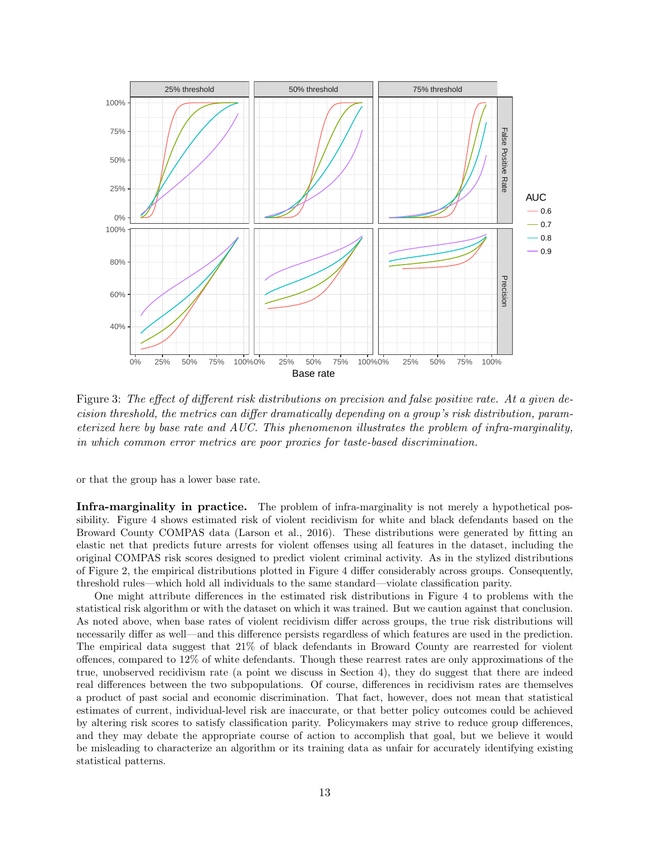<span id="page-12-0"></span>

Figure 3: The effect of different risk distributions on precision and false positive rate. At a given decision threshold, the metrics can differ dramatically depending on a group's risk distribution, parameterized here by base rate and AUC. This phenomenon illustrates the problem of infra-marginality, in which common error metrics are poor proxies for taste-based discrimination.

or that the group has a lower base rate.

Infra-marginality in practice. The problem of infra-marginality is not merely a hypothetical possibility. Figure [4](#page-13-0) shows estimated risk of violent recidivism for white and black defendants based on the Broward County COMPAS data [\(Larson et al., 2016\)](#page-23-14). These distributions were generated by fitting an elastic net that predicts future arrests for violent offenses using all features in the dataset, including the original COMPAS risk scores designed to predict violent criminal activity. As in the stylized distributions of Figure [2,](#page-10-1) the empirical distributions plotted in Figure [4](#page-13-0) differ considerably across groups. Consequently, threshold rules—which hold all individuals to the same standard—violate classification parity.

One might attribute differences in the estimated risk distributions in Figure [4](#page-13-0) to problems with the statistical risk algorithm or with the dataset on which it was trained. But we caution against that conclusion. As noted above, when base rates of violent recidivism differ across groups, the true risk distributions will necessarily differ as well—and this difference persists regardless of which features are used in the prediction. The empirical data suggest that 21% of black defendants in Broward County are rearrested for violent offences, compared to 12% of white defendants. Though these rearrest rates are only approximations of the true, unobserved recidivism rate (a point we discuss in Section [4\)](#page-16-0), they do suggest that there are indeed real differences between the two subpopulations. Of course, differences in recidivism rates are themselves a product of past social and economic discrimination. That fact, however, does not mean that statistical estimates of current, individual-level risk are inaccurate, or that better policy outcomes could be achieved by altering risk scores to satisfy classification parity. Policymakers may strive to reduce group differences, and they may debate the appropriate course of action to accomplish that goal, but we believe it would be misleading to characterize an algorithm or its training data as unfair for accurately identifying existing statistical patterns.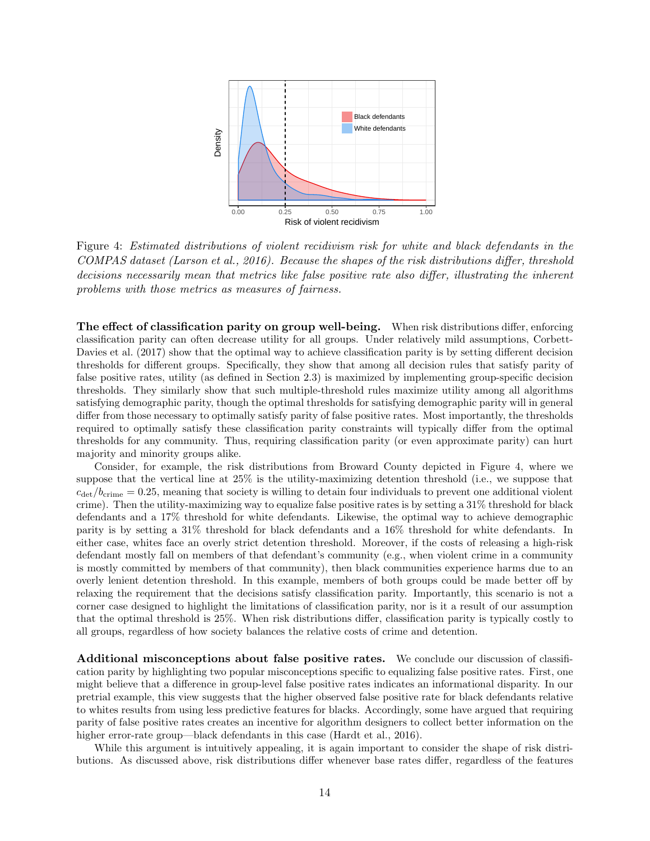<span id="page-13-0"></span>

Figure 4: Estimated distributions of violent recidivism risk for white and black defendants in the COMPAS dataset [\(Larson et al., 2016\)](#page-23-14). Because the shapes of the risk distributions differ, threshold decisions necessarily mean that metrics like false positive rate also differ, illustrating the inherent problems with those metrics as measures of fairness.

The effect of classification parity on group well-being. When risk distributions differ, enforcing classification parity can often decrease utility for all groups. Under relatively mild assumptions, [Corbett-](#page-21-11)[Davies et al.](#page-21-11) [\(2017\)](#page-21-11) show that the optimal way to achieve classification parity is by setting different decision thresholds for different groups. Specifically, they show that among all decision rules that satisfy parity of false positive rates, utility (as defined in Section [2.3\)](#page-5-2) is maximized by implementing group-specific decision thresholds. They similarly show that such multiple-threshold rules maximize utility among all algorithms satisfying demographic parity, though the optimal thresholds for satisfying demographic parity will in general differ from those necessary to optimally satisfy parity of false positive rates. Most importantly, the thresholds required to optimally satisfy these classification parity constraints will typically differ from the optimal thresholds for any community. Thus, requiring classification parity (or even approximate parity) can hurt majority and minority groups alike.

Consider, for example, the risk distributions from Broward County depicted in Figure [4,](#page-13-0) where we suppose that the vertical line at 25% is the utility-maximizing detention threshold (i.e., we suppose that  $c_{\text{det}}/b_{\text{crime}} = 0.25$ , meaning that society is willing to detain four individuals to prevent one additional violent crime). Then the utility-maximizing way to equalize false positive rates is by setting a 31% threshold for black defendants and a 17% threshold for white defendants. Likewise, the optimal way to achieve demographic parity is by setting a 31% threshold for black defendants and a 16% threshold for white defendants. In either case, whites face an overly strict detention threshold. Moreover, if the costs of releasing a high-risk defendant mostly fall on members of that defendant's community (e.g., when violent crime in a community is mostly committed by members of that community), then black communities experience harms due to an overly lenient detention threshold. In this example, members of both groups could be made better off by relaxing the requirement that the decisions satisfy classification parity. Importantly, this scenario is not a corner case designed to highlight the limitations of classification parity, nor is it a result of our assumption that the optimal threshold is 25%. When risk distributions differ, classification parity is typically costly to all groups, regardless of how society balances the relative costs of crime and detention.

Additional misconceptions about false positive rates. We conclude our discussion of classification parity by highlighting two popular misconceptions specific to equalizing false positive rates. First, one might believe that a difference in group-level false positive rates indicates an informational disparity. In our pretrial example, this view suggests that the higher observed false positive rate for black defendants relative to whites results from using less predictive features for blacks. Accordingly, some have argued that requiring parity of false positive rates creates an incentive for algorithm designers to collect better information on the higher error-rate group—black defendants in this case [\(Hardt et al., 2016\)](#page-22-7).

While this argument is intuitively appealing, it is again important to consider the shape of risk distributions. As discussed above, risk distributions differ whenever base rates differ, regardless of the features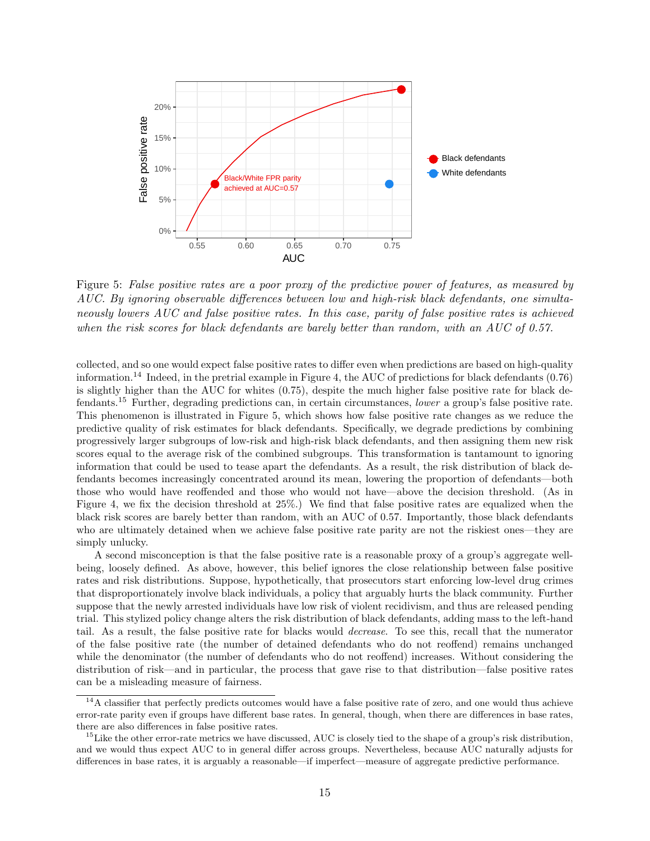<span id="page-14-2"></span>

Figure 5: False positive rates are a poor proxy of the predictive power of features, as measured by AUC. By ignoring observable differences between low and high-risk black defendants, one simultaneously lowers AUC and false positive rates. In this case, parity of false positive rates is achieved when the risk scores for black defendants are barely better than random, with an AUC of 0.57.

collected, and so one would expect false positive rates to differ even when predictions are based on high-quality information.<sup>[14](#page-14-0)</sup> Indeed, in the pretrial example in Figure [4,](#page-13-0) the AUC of predictions for black defendants  $(0.76)$ is slightly higher than the AUC for whites (0.75), despite the much higher false positive rate for black defendants.[15](#page-14-1) Further, degrading predictions can, in certain circumstances, lower a group's false positive rate. This phenomenon is illustrated in Figure [5,](#page-14-2) which shows how false positive rate changes as we reduce the predictive quality of risk estimates for black defendants. Specifically, we degrade predictions by combining progressively larger subgroups of low-risk and high-risk black defendants, and then assigning them new risk scores equal to the average risk of the combined subgroups. This transformation is tantamount to ignoring information that could be used to tease apart the defendants. As a result, the risk distribution of black defendants becomes increasingly concentrated around its mean, lowering the proportion of defendants—both those who would have reoffended and those who would not have—above the decision threshold. (As in Figure [4,](#page-13-0) we fix the decision threshold at 25%.) We find that false positive rates are equalized when the black risk scores are barely better than random, with an AUC of 0.57. Importantly, those black defendants who are ultimately detained when we achieve false positive rate parity are not the riskiest ones—they are simply unlucky.

A second misconception is that the false positive rate is a reasonable proxy of a group's aggregate wellbeing, loosely defined. As above, however, this belief ignores the close relationship between false positive rates and risk distributions. Suppose, hypothetically, that prosecutors start enforcing low-level drug crimes that disproportionately involve black individuals, a policy that arguably hurts the black community. Further suppose that the newly arrested individuals have low risk of violent recidivism, and thus are released pending trial. This stylized policy change alters the risk distribution of black defendants, adding mass to the left-hand tail. As a result, the false positive rate for blacks would decrease. To see this, recall that the numerator of the false positive rate (the number of detained defendants who do not reoffend) remains unchanged while the denominator (the number of defendants who do not reoffend) increases. Without considering the distribution of risk—and in particular, the process that gave rise to that distribution—false positive rates can be a misleading measure of fairness.

<span id="page-14-0"></span><sup>&</sup>lt;sup>14</sup>A classifier that perfectly predicts outcomes would have a false positive rate of zero, and one would thus achieve error-rate parity even if groups have different base rates. In general, though, when there are differences in base rates, there are also differences in false positive rates.

<span id="page-14-1"></span><sup>&</sup>lt;sup>15</sup>Like the other error-rate metrics we have discussed, AUC is closely tied to the shape of a group's risk distribution, and we would thus expect AUC to in general differ across groups. Nevertheless, because AUC naturally adjusts for differences in base rates, it is arguably a reasonable—if imperfect—measure of aggregate predictive performance.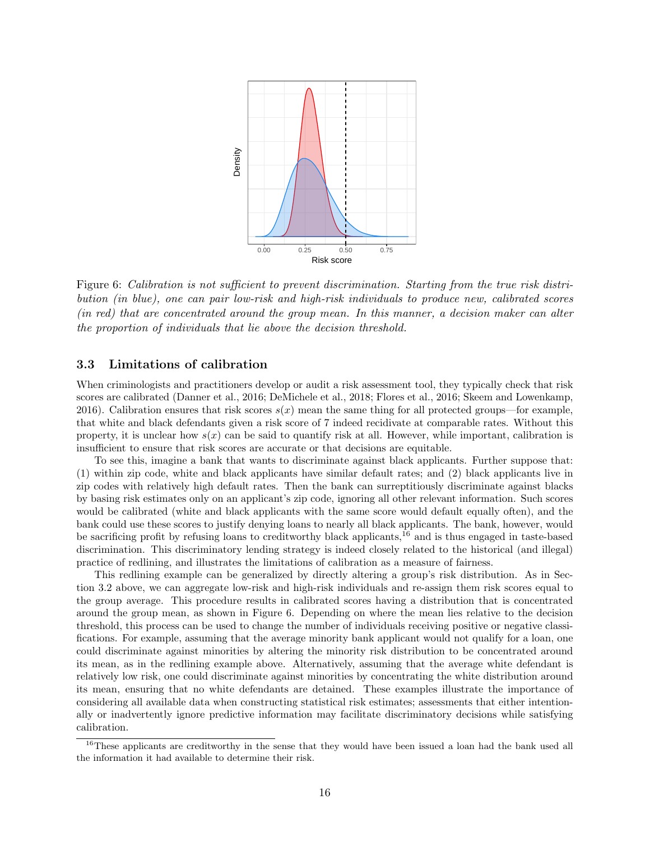<span id="page-15-2"></span>

Figure 6: Calibration is not sufficient to prevent discrimination. Starting from the true risk distribution (in blue), one can pair low-risk and high-risk individuals to produce new, calibrated scores (in red) that are concentrated around the group mean. In this manner, a decision maker can alter the proportion of individuals that lie above the decision threshold.

### <span id="page-15-0"></span>3.3 Limitations of calibration

When criminologists and practitioners develop or audit a risk assessment tool, they typically check that risk scores are calibrated [\(Danner et al., 2016;](#page-21-16) [DeMichele et al., 2018;](#page-21-14) [Flores et al., 2016;](#page-22-12) [Skeem and Lowenkamp,](#page-24-2) [2016\)](#page-24-2). Calibration ensures that risk scores  $s(x)$  mean the same thing for all protected groups—for example, that white and black defendants given a risk score of 7 indeed recidivate at comparable rates. Without this property, it is unclear how  $s(x)$  can be said to quantify risk at all. However, while important, calibration is insufficient to ensure that risk scores are accurate or that decisions are equitable.

To see this, imagine a bank that wants to discriminate against black applicants. Further suppose that: (1) within zip code, white and black applicants have similar default rates; and (2) black applicants live in zip codes with relatively high default rates. Then the bank can surreptitiously discriminate against blacks by basing risk estimates only on an applicant's zip code, ignoring all other relevant information. Such scores would be calibrated (white and black applicants with the same score would default equally often), and the bank could use these scores to justify denying loans to nearly all black applicants. The bank, however, would be sacrificing profit by refusing loans to creditworthy black applicants,[16](#page-15-1) and is thus engaged in taste-based discrimination. This discriminatory lending strategy is indeed closely related to the historical (and illegal) practice of redlining, and illustrates the limitations of calibration as a measure of fairness.

This redlining example can be generalized by directly altering a group's risk distribution. As in Section [3.2](#page-10-2) above, we can aggregate low-risk and high-risk individuals and re-assign them risk scores equal to the group average. This procedure results in calibrated scores having a distribution that is concentrated around the group mean, as shown in Figure [6.](#page-15-2) Depending on where the mean lies relative to the decision threshold, this process can be used to change the number of individuals receiving positive or negative classifications. For example, assuming that the average minority bank applicant would not qualify for a loan, one could discriminate against minorities by altering the minority risk distribution to be concentrated around its mean, as in the redlining example above. Alternatively, assuming that the average white defendant is relatively low risk, one could discriminate against minorities by concentrating the white distribution around its mean, ensuring that no white defendants are detained. These examples illustrate the importance of considering all available data when constructing statistical risk estimates; assessments that either intentionally or inadvertently ignore predictive information may facilitate discriminatory decisions while satisfying calibration.

<span id="page-15-1"></span><sup>&</sup>lt;sup>16</sup>These applicants are creditworthy in the sense that they would have been issued a loan had the bank used all the information it had available to determine their risk.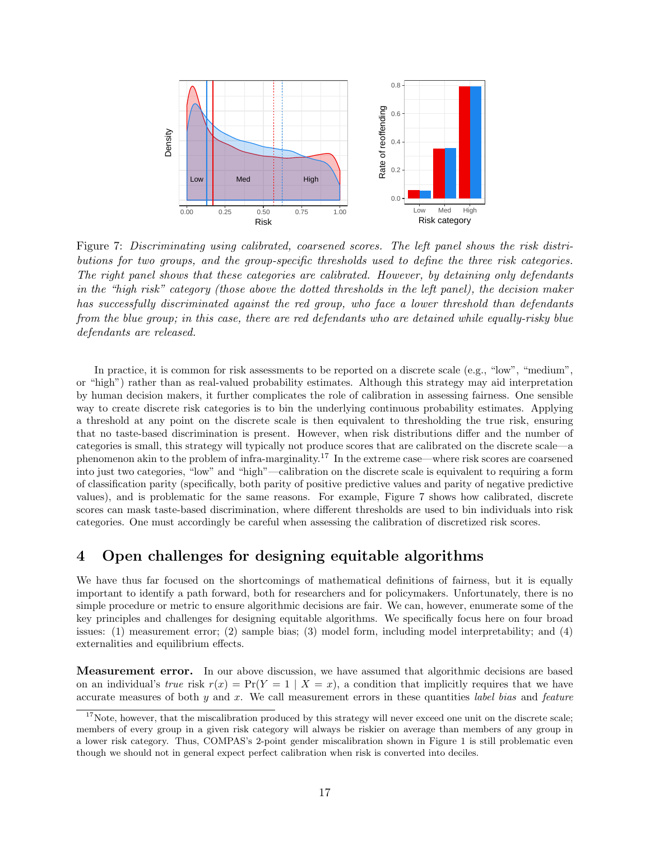<span id="page-16-2"></span>

Figure 7: Discriminating using calibrated, coarsened scores. The left panel shows the risk distributions for two groups, and the group-specific thresholds used to define the three risk categories. The right panel shows that these categories are calibrated. However, by detaining only defendants in the "high risk" category (those above the dotted thresholds in the left panel), the decision maker has successfully discriminated against the red group, who face a lower threshold than defendants from the blue group; in this case, there are red defendants who are detained while equally-risky blue defendants are released.

In practice, it is common for risk assessments to be reported on a discrete scale (e.g., "low", "medium", or "high") rather than as real-valued probability estimates. Although this strategy may aid interpretation by human decision makers, it further complicates the role of calibration in assessing fairness. One sensible way to create discrete risk categories is to bin the underlying continuous probability estimates. Applying a threshold at any point on the discrete scale is then equivalent to thresholding the true risk, ensuring that no taste-based discrimination is present. However, when risk distributions differ and the number of categories is small, this strategy will typically not produce scores that are calibrated on the discrete scale—a phenomenon akin to the problem of infra-marginality.[17](#page-16-1) In the extreme case—where risk scores are coarsened into just two categories, "low" and "high"—calibration on the discrete scale is equivalent to requiring a form of classification parity (specifically, both parity of positive predictive values and parity of negative predictive values), and is problematic for the same reasons. For example, Figure [7](#page-16-2) shows how calibrated, discrete scores can mask taste-based discrimination, where different thresholds are used to bin individuals into risk categories. One must accordingly be careful when assessing the calibration of discretized risk scores.

### <span id="page-16-0"></span>4 Open challenges for designing equitable algorithms

We have thus far focused on the shortcomings of mathematical definitions of fairness, but it is equally important to identify a path forward, both for researchers and for policymakers. Unfortunately, there is no simple procedure or metric to ensure algorithmic decisions are fair. We can, however, enumerate some of the key principles and challenges for designing equitable algorithms. We specifically focus here on four broad issues: (1) measurement error; (2) sample bias; (3) model form, including model interpretability; and (4) externalities and equilibrium effects.

Measurement error. In our above discussion, we have assumed that algorithmic decisions are based on an individual's true risk  $r(x) = Pr(Y = 1 | X = x)$ , a condition that implicitly requires that we have accurate measures of both  $y$  and  $x$ . We call measurement errors in these quantities *label bias* and *feature* 

<span id="page-16-1"></span> $17$ Note, however, that the miscalibration produced by this strategy will never exceed one unit on the discrete scale; members of every group in a given risk category will always be riskier on average than members of any group in a lower risk category. Thus, COMPAS's 2-point gender miscalibration shown in Figure [1](#page-9-0) is still problematic even though we should not in general expect perfect calibration when risk is converted into deciles.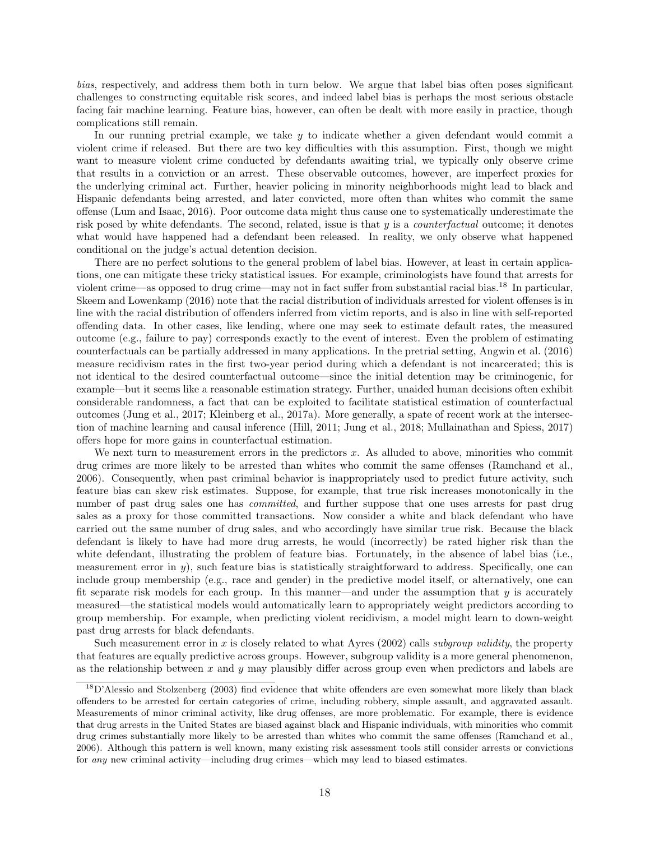bias, respectively, and address them both in turn below. We argue that label bias often poses significant challenges to constructing equitable risk scores, and indeed label bias is perhaps the most serious obstacle facing fair machine learning. Feature bias, however, can often be dealt with more easily in practice, though complications still remain.

In our running pretrial example, we take  $y$  to indicate whether a given defendant would commit a violent crime if released. But there are two key difficulties with this assumption. First, though we might want to measure violent crime conducted by defendants awaiting trial, we typically only observe crime that results in a conviction or an arrest. These observable outcomes, however, are imperfect proxies for the underlying criminal act. Further, heavier policing in minority neighborhoods might lead to black and Hispanic defendants being arrested, and later convicted, more often than whites who commit the same offense [\(Lum and Isaac, 2016\)](#page-23-15). Poor outcome data might thus cause one to systematically underestimate the risk posed by white defendants. The second, related, issue is that  $y$  is a *counterfactual* outcome; it denotes what would have happened had a defendant been released. In reality, we only observe what happened conditional on the judge's actual detention decision.

There are no perfect solutions to the general problem of label bias. However, at least in certain applications, one can mitigate these tricky statistical issues. For example, criminologists have found that arrests for violent crime—as opposed to drug crime—may not in fact suffer from substantial racial bias.[18](#page-17-0) In particular, [Skeem and Lowenkamp](#page-24-2) [\(2016\)](#page-24-2) note that the racial distribution of individuals arrested for violent offenses is in line with the racial distribution of offenders inferred from victim reports, and is also in line with self-reported offending data. In other cases, like lending, where one may seek to estimate default rates, the measured outcome (e.g., failure to pay) corresponds exactly to the event of interest. Even the problem of estimating counterfactuals can be partially addressed in many applications. In the pretrial setting, [Angwin et al.](#page-20-1) [\(2016\)](#page-20-1) measure recidivism rates in the first two-year period during which a defendant is not incarcerated; this is not identical to the desired counterfactual outcome—since the initial detention may be criminogenic, for example—but it seems like a reasonable estimation strategy. Further, unaided human decisions often exhibit considerable randomness, a fact that can be exploited to facilitate statistical estimation of counterfactual outcomes [\(Jung et al., 2017;](#page-22-13) [Kleinberg et al., 2017a\)](#page-23-16). More generally, a spate of recent work at the intersection of machine learning and causal inference [\(Hill, 2011;](#page-22-14) [Jung et al., 2018;](#page-22-15) [Mullainathan and Spiess, 2017\)](#page-23-17) offers hope for more gains in counterfactual estimation.

We next turn to measurement errors in the predictors  $x$ . As alluded to above, minorities who commit drug crimes are more likely to be arrested than whites who commit the same offenses [\(Ramchand et al.,](#page-24-13) [2006\)](#page-24-13). Consequently, when past criminal behavior is inappropriately used to predict future activity, such feature bias can skew risk estimates. Suppose, for example, that true risk increases monotonically in the number of past drug sales one has *committed*, and further suppose that one uses arrests for past drug sales as a proxy for those committed transactions. Now consider a white and black defendant who have carried out the same number of drug sales, and who accordingly have similar true risk. Because the black defendant is likely to have had more drug arrests, he would (incorrectly) be rated higher risk than the white defendant, illustrating the problem of feature bias. Fortunately, in the absence of label bias (i.e., measurement error in y), such feature bias is statistically straightforward to address. Specifically, one can include group membership (e.g., race and gender) in the predictive model itself, or alternatively, one can fit separate risk models for each group. In this manner—and under the assumption that  $y$  is accurately measured—the statistical models would automatically learn to appropriately weight predictors according to group membership. For example, when predicting violent recidivism, a model might learn to down-weight past drug arrests for black defendants.

Such measurement error in x is closely related to what [Ayres](#page-20-2) [\(2002\)](#page-20-2) calls *subgroup validity*, the property that features are equally predictive across groups. However, subgroup validity is a more general phenomenon, as the relationship between x and  $y$  may plausibly differ across group even when predictors and labels are

<span id="page-17-0"></span><sup>18</sup>[D'Alessio and Stolzenberg](#page-21-2) [\(2003\)](#page-21-2) find evidence that white offenders are even somewhat more likely than black offenders to be arrested for certain categories of crime, including robbery, simple assault, and aggravated assault. Measurements of minor criminal activity, like drug offenses, are more problematic. For example, there is evidence that drug arrests in the United States are biased against black and Hispanic individuals, with minorities who commit drug crimes substantially more likely to be arrested than whites who commit the same offenses [\(Ramchand et al.,](#page-24-13) [2006\)](#page-24-13). Although this pattern is well known, many existing risk assessment tools still consider arrests or convictions for any new criminal activity—including drug crimes—which may lead to biased estimates.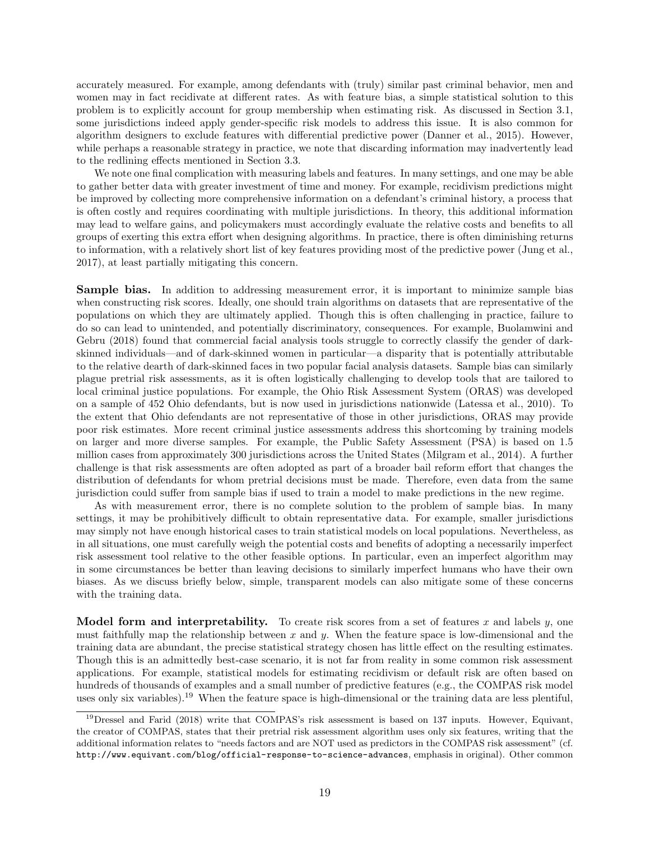accurately measured. For example, among defendants with (truly) similar past criminal behavior, men and women may in fact recidivate at different rates. As with feature bias, a simple statistical solution to this problem is to explicitly account for group membership when estimating risk. As discussed in Section [3.1,](#page-8-3) some jurisdictions indeed apply gender-specific risk models to address this issue. It is also common for algorithm designers to exclude features with differential predictive power [\(Danner et al., 2015\)](#page-21-17). However, while perhaps a reasonable strategy in practice, we note that discarding information may inadvertently lead to the redlining effects mentioned in Section [3.3.](#page-15-0)

We note one final complication with measuring labels and features. In many settings, and one may be able to gather better data with greater investment of time and money. For example, recidivism predictions might be improved by collecting more comprehensive information on a defendant's criminal history, a process that is often costly and requires coordinating with multiple jurisdictions. In theory, this additional information may lead to welfare gains, and policymakers must accordingly evaluate the relative costs and benefits to all groups of exerting this extra effort when designing algorithms. In practice, there is often diminishing returns to information, with a relatively short list of key features providing most of the predictive power [\(Jung et al.,](#page-22-13) [2017\)](#page-22-13), at least partially mitigating this concern.

**Sample bias.** In addition to addressing measurement error, it is important to minimize sample bias when constructing risk scores. Ideally, one should train algorithms on datasets that are representative of the populations on which they are ultimately applied. Though this is often challenging in practice, failure to do so can lead to unintended, and potentially discriminatory, consequences. For example, [Buolamwini and](#page-21-3) [Gebru](#page-21-3) [\(2018\)](#page-21-3) found that commercial facial analysis tools struggle to correctly classify the gender of darkskinned individuals—and of dark-skinned women in particular—a disparity that is potentially attributable to the relative dearth of dark-skinned faces in two popular facial analysis datasets. Sample bias can similarly plague pretrial risk assessments, as it is often logistically challenging to develop tools that are tailored to local criminal justice populations. For example, the Ohio Risk Assessment System (ORAS) was developed on a sample of 452 Ohio defendants, but is now used in jurisdictions nationwide [\(Latessa et al., 2010\)](#page-23-18). To the extent that Ohio defendants are not representative of those in other jurisdictions, ORAS may provide poor risk estimates. More recent criminal justice assessments address this shortcoming by training models on larger and more diverse samples. For example, the Public Safety Assessment (PSA) is based on 1.5 million cases from approximately 300 jurisdictions across the United States [\(Milgram et al., 2014\)](#page-23-19). A further challenge is that risk assessments are often adopted as part of a broader bail reform effort that changes the distribution of defendants for whom pretrial decisions must be made. Therefore, even data from the same jurisdiction could suffer from sample bias if used to train a model to make predictions in the new regime.

As with measurement error, there is no complete solution to the problem of sample bias. In many settings, it may be prohibitively difficult to obtain representative data. For example, smaller jurisdictions may simply not have enough historical cases to train statistical models on local populations. Nevertheless, as in all situations, one must carefully weigh the potential costs and benefits of adopting a necessarily imperfect risk assessment tool relative to the other feasible options. In particular, even an imperfect algorithm may in some circumstances be better than leaving decisions to similarly imperfect humans who have their own biases. As we discuss briefly below, simple, transparent models can also mitigate some of these concerns with the training data.

**Model form and interpretability.** To create risk scores from a set of features x and labels y, one must faithfully map the relationship between x and y. When the feature space is low-dimensional and the training data are abundant, the precise statistical strategy chosen has little effect on the resulting estimates. Though this is an admittedly best-case scenario, it is not far from reality in some common risk assessment applications. For example, statistical models for estimating recidivism or default risk are often based on hundreds of thousands of examples and a small number of predictive features (e.g., the COMPAS risk model uses only six variables).[19](#page-18-0) When the feature space is high-dimensional or the training data are less plentiful,

<span id="page-18-0"></span><sup>&</sup>lt;sup>19</sup>[Dressel and Farid](#page-21-18) [\(2018\)](#page-21-18) write that COMPAS's risk assessment is based on 137 inputs. However, Equivant, the creator of COMPAS, states that their pretrial risk assessment algorithm uses only six features, writing that the additional information relates to "needs factors and are NOT used as predictors in the COMPAS risk assessment" (cf. <http://www.equivant.com/blog/official-response-to-science-advances>, emphasis in original). Other common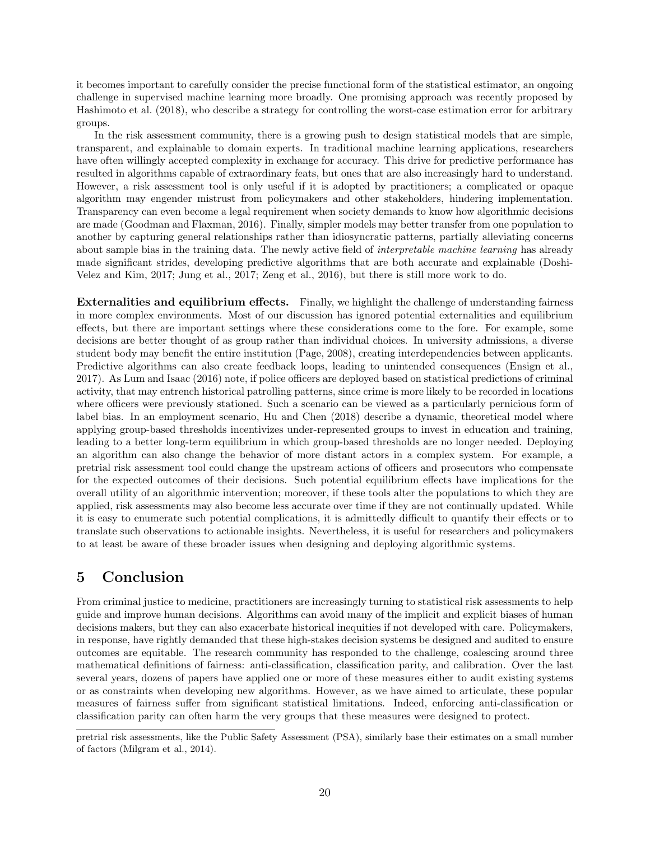it becomes important to carefully consider the precise functional form of the statistical estimator, an ongoing challenge in supervised machine learning more broadly. One promising approach was recently proposed by [Hashimoto et al.](#page-22-16) [\(2018\)](#page-22-16), who describe a strategy for controlling the worst-case estimation error for arbitrary groups.

In the risk assessment community, there is a growing push to design statistical models that are simple, transparent, and explainable to domain experts. In traditional machine learning applications, researchers have often willingly accepted complexity in exchange for accuracy. This drive for predictive performance has resulted in algorithms capable of extraordinary feats, but ones that are also increasingly hard to understand. However, a risk assessment tool is only useful if it is adopted by practitioners; a complicated or opaque algorithm may engender mistrust from policymakers and other stakeholders, hindering implementation. Transparency can even become a legal requirement when society demands to know how algorithmic decisions are made [\(Goodman and Flaxman, 2016\)](#page-22-17). Finally, simpler models may better transfer from one population to another by capturing general relationships rather than idiosyncratic patterns, partially alleviating concerns about sample bias in the training data. The newly active field of *interpretable machine learning* has already made significant strides, developing predictive algorithms that are both accurate and explainable [\(Doshi-](#page-21-19)[Velez and Kim, 2017;](#page-21-19) [Jung et al., 2017;](#page-22-13) [Zeng et al., 2016\)](#page-24-14), but there is still more work to do.

Externalities and equilibrium effects. Finally, we highlight the challenge of understanding fairness in more complex environments. Most of our discussion has ignored potential externalities and equilibrium effects, but there are important settings where these considerations come to the fore. For example, some decisions are better thought of as group rather than individual choices. In university admissions, a diverse student body may benefit the entire institution [\(Page, 2008\)](#page-23-1), creating interdependencies between applicants. Predictive algorithms can also create feedback loops, leading to unintended consequences [\(Ensign et al.,](#page-22-18) [2017\)](#page-22-18). As [Lum and Isaac](#page-23-15) [\(2016\)](#page-23-15) note, if police officers are deployed based on statistical predictions of criminal activity, that may entrench historical patrolling patterns, since crime is more likely to be recorded in locations where officers were previously stationed. Such a scenario can be viewed as a particularly pernicious form of label bias. In an employment scenario, [Hu and Chen](#page-22-19) [\(2018\)](#page-22-19) describe a dynamic, theoretical model where applying group-based thresholds incentivizes under-represented groups to invest in education and training, leading to a better long-term equilibrium in which group-based thresholds are no longer needed. Deploying an algorithm can also change the behavior of more distant actors in a complex system. For example, a pretrial risk assessment tool could change the upstream actions of officers and prosecutors who compensate for the expected outcomes of their decisions. Such potential equilibrium effects have implications for the overall utility of an algorithmic intervention; moreover, if these tools alter the populations to which they are applied, risk assessments may also become less accurate over time if they are not continually updated. While it is easy to enumerate such potential complications, it is admittedly difficult to quantify their effects or to translate such observations to actionable insights. Nevertheless, it is useful for researchers and policymakers to at least be aware of these broader issues when designing and deploying algorithmic systems.

## 5 Conclusion

From criminal justice to medicine, practitioners are increasingly turning to statistical risk assessments to help guide and improve human decisions. Algorithms can avoid many of the implicit and explicit biases of human decisions makers, but they can also exacerbate historical inequities if not developed with care. Policymakers, in response, have rightly demanded that these high-stakes decision systems be designed and audited to ensure outcomes are equitable. The research community has responded to the challenge, coalescing around three mathematical definitions of fairness: anti-classification, classification parity, and calibration. Over the last several years, dozens of papers have applied one or more of these measures either to audit existing systems or as constraints when developing new algorithms. However, as we have aimed to articulate, these popular measures of fairness suffer from significant statistical limitations. Indeed, enforcing anti-classification or classification parity can often harm the very groups that these measures were designed to protect.

pretrial risk assessments, like the Public Safety Assessment (PSA), similarly base their estimates on a small number of factors [\(Milgram et al., 2014\)](#page-23-19).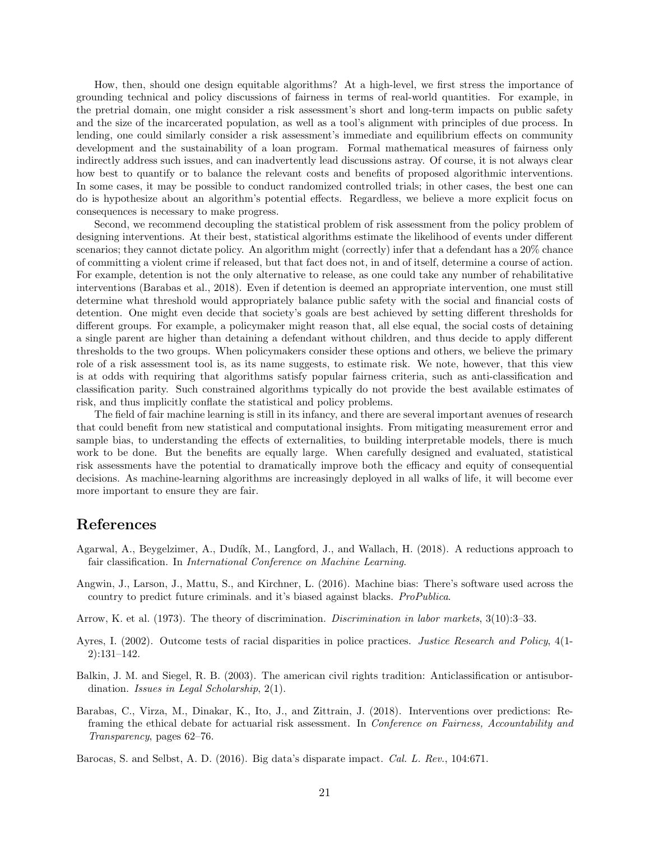How, then, should one design equitable algorithms? At a high-level, we first stress the importance of grounding technical and policy discussions of fairness in terms of real-world quantities. For example, in the pretrial domain, one might consider a risk assessment's short and long-term impacts on public safety and the size of the incarcerated population, as well as a tool's alignment with principles of due process. In lending, one could similarly consider a risk assessment's immediate and equilibrium effects on community development and the sustainability of a loan program. Formal mathematical measures of fairness only indirectly address such issues, and can inadvertently lead discussions astray. Of course, it is not always clear how best to quantify or to balance the relevant costs and benefits of proposed algorithmic interventions. In some cases, it may be possible to conduct randomized controlled trials; in other cases, the best one can do is hypothesize about an algorithm's potential effects. Regardless, we believe a more explicit focus on consequences is necessary to make progress.

Second, we recommend decoupling the statistical problem of risk assessment from the policy problem of designing interventions. At their best, statistical algorithms estimate the likelihood of events under different scenarios; they cannot dictate policy. An algorithm might (correctly) infer that a defendant has a 20% chance of committing a violent crime if released, but that fact does not, in and of itself, determine a course of action. For example, detention is not the only alternative to release, as one could take any number of rehabilitative interventions [\(Barabas et al., 2018\)](#page-20-6). Even if detention is deemed an appropriate intervention, one must still determine what threshold would appropriately balance public safety with the social and financial costs of detention. One might even decide that society's goals are best achieved by setting different thresholds for different groups. For example, a policymaker might reason that, all else equal, the social costs of detaining a single parent are higher than detaining a defendant without children, and thus decide to apply different thresholds to the two groups. When policymakers consider these options and others, we believe the primary role of a risk assessment tool is, as its name suggests, to estimate risk. We note, however, that this view is at odds with requiring that algorithms satisfy popular fairness criteria, such as anti-classification and classification parity. Such constrained algorithms typically do not provide the best available estimates of risk, and thus implicitly conflate the statistical and policy problems.

The field of fair machine learning is still in its infancy, and there are several important avenues of research that could benefit from new statistical and computational insights. From mitigating measurement error and sample bias, to understanding the effects of externalities, to building interpretable models, there is much work to be done. But the benefits are equally large. When carefully designed and evaluated, statistical risk assessments have the potential to dramatically improve both the efficacy and equity of consequential decisions. As machine-learning algorithms are increasingly deployed in all walks of life, it will become ever more important to ensure they are fair.

### References

- <span id="page-20-5"></span>Agarwal, A., Beygelzimer, A., Dudík, M., Langford, J., and Wallach, H. (2018). A reductions approach to fair classification. In International Conference on Machine Learning.
- <span id="page-20-1"></span>Angwin, J., Larson, J., Mattu, S., and Kirchner, L. (2016). Machine bias: There's software used across the country to predict future criminals. and it's biased against blacks. ProPublica.
- <span id="page-20-3"></span>Arrow, K. et al. (1973). The theory of discrimination. Discrimination in labor markets, 3(10):3–33.
- <span id="page-20-2"></span>Ayres, I. (2002). Outcome tests of racial disparities in police practices. Justice Research and Policy, 4(1- 2):131–142.
- <span id="page-20-4"></span>Balkin, J. M. and Siegel, R. B. (2003). The american civil rights tradition: Anticlassification or antisubordination. Issues in Legal Scholarship, 2(1).
- <span id="page-20-6"></span>Barabas, C., Virza, M., Dinakar, K., Ito, J., and Zittrain, J. (2018). Interventions over predictions: Reframing the ethical debate for actuarial risk assessment. In Conference on Fairness, Accountability and Transparency, pages 62–76.

<span id="page-20-0"></span>Barocas, S. and Selbst, A. D. (2016). Big data's disparate impact. Cal. L. Rev., 104:671.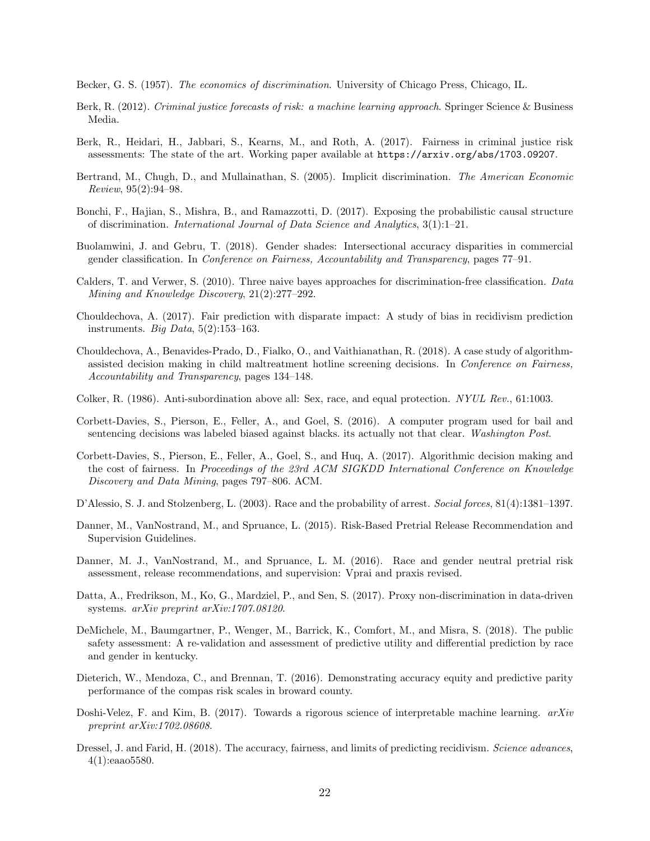<span id="page-21-4"></span>Becker, G. S. (1957). The economics of discrimination. University of Chicago Press, Chicago, IL.

- <span id="page-21-0"></span>Berk, R. (2012). Criminal justice forecasts of risk: a machine learning approach. Springer Science & Business Media.
- <span id="page-21-8"></span>Berk, R., Heidari, H., Jabbari, S., Kearns, M., and Roth, A. (2017). Fairness in criminal justice risk assessments: The state of the art. Working paper available at <https://arxiv.org/abs/1703.09207>.
- <span id="page-21-6"></span>Bertrand, M., Chugh, D., and Mullainathan, S. (2005). Implicit discrimination. The American Economic Review, 95(2):94–98.
- <span id="page-21-7"></span>Bonchi, F., Hajian, S., Mishra, B., and Ramazzotti, D. (2017). Exposing the probabilistic causal structure of discrimination. International Journal of Data Science and Analytics, 3(1):1–21.
- <span id="page-21-3"></span>Buolamwini, J. and Gebru, T. (2018). Gender shades: Intersectional accuracy disparities in commercial gender classification. In Conference on Fairness, Accountability and Transparency, pages 77–91.
- <span id="page-21-9"></span>Calders, T. and Verwer, S. (2010). Three naive bayes approaches for discrimination-free classification. Data Mining and Knowledge Discovery, 21(2):277–292.
- <span id="page-21-10"></span>Chouldechova, A. (2017). Fair prediction with disparate impact: A study of bias in recidivism prediction instruments. Big Data,  $5(2):153-163$ .
- <span id="page-21-1"></span>Chouldechova, A., Benavides-Prado, D., Fialko, O., and Vaithianathan, R. (2018). A case study of algorithmassisted decision making in child maltreatment hotline screening decisions. In Conference on Fairness, Accountability and Transparency, pages 134–148.
- <span id="page-21-5"></span>Colker, R. (1986). Anti-subordination above all: Sex, race, and equal protection. NYUL Rev., 61:1003.
- <span id="page-21-13"></span>Corbett-Davies, S., Pierson, E., Feller, A., and Goel, S. (2016). A computer program used for bail and sentencing decisions was labeled biased against blacks. its actually not that clear. Washington Post.
- <span id="page-21-11"></span>Corbett-Davies, S., Pierson, E., Feller, A., Goel, S., and Huq, A. (2017). Algorithmic decision making and the cost of fairness. In Proceedings of the 23rd ACM SIGKDD International Conference on Knowledge Discovery and Data Mining, pages 797–806. ACM.
- <span id="page-21-2"></span>D'Alessio, S. J. and Stolzenberg, L. (2003). Race and the probability of arrest. Social forces, 81(4):1381–1397.
- <span id="page-21-17"></span>Danner, M., VanNostrand, M., and Spruance, L. (2015). Risk-Based Pretrial Release Recommendation and Supervision Guidelines.
- <span id="page-21-16"></span>Danner, M. J., VanNostrand, M., and Spruance, L. M. (2016). Race and gender neutral pretrial risk assessment, release recommendations, and supervision: Vprai and praxis revised.
- <span id="page-21-12"></span>Datta, A., Fredrikson, M., Ko, G., Mardziel, P., and Sen, S. (2017). Proxy non-discrimination in data-driven systems. arXiv preprint arXiv:1707.08120.
- <span id="page-21-14"></span>DeMichele, M., Baumgartner, P., Wenger, M., Barrick, K., Comfort, M., and Misra, S. (2018). The public safety assessment: A re-validation and assessment of predictive utility and differential prediction by race and gender in kentucky.
- <span id="page-21-15"></span>Dieterich, W., Mendoza, C., and Brennan, T. (2016). Demonstrating accuracy equity and predictive parity performance of the compas risk scales in broward county.
- <span id="page-21-19"></span>Doshi-Velez, F. and Kim, B. (2017). Towards a rigorous science of interpretable machine learning.  $arXiv$ preprint arXiv:1702.08608.
- <span id="page-21-18"></span>Dressel, J. and Farid, H. (2018). The accuracy, fairness, and limits of predicting recidivism. Science advances, 4(1):eaao5580.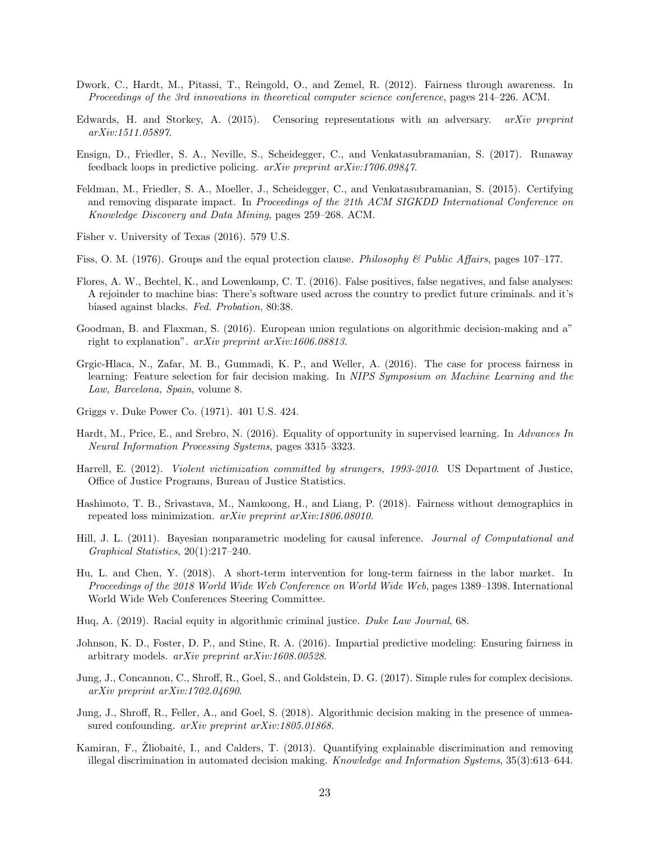- <span id="page-22-9"></span>Dwork, C., Hardt, M., Pitassi, T., Reingold, O., and Zemel, R. (2012). Fairness through awareness. In Proceedings of the 3rd innovations in theoretical computer science conference, pages 214–226. ACM.
- <span id="page-22-5"></span>Edwards, H. and Storkey, A. (2015). Censoring representations with an adversary.  $arXiv$  preprint arXiv:1511.05897.
- <span id="page-22-18"></span>Ensign, D., Friedler, S. A., Neville, S., Scheidegger, C., and Venkatasubramanian, S. (2017). Runaway feedback loops in predictive policing. arXiv preprint arXiv:1706.09847.
- <span id="page-22-6"></span>Feldman, M., Friedler, S. A., Moeller, J., Scheidegger, C., and Venkatasubramanian, S. (2015). Certifying and removing disparate impact. In Proceedings of the 21th ACM SIGKDD International Conference on Knowledge Discovery and Data Mining, pages 259–268. ACM.
- <span id="page-22-0"></span>Fisher v. University of Texas (2016). 579 U.S.
- <span id="page-22-1"></span>Fiss, O. M. (1976). Groups and the equal protection clause. Philosophy & Public Affairs, pages 107–177.
- <span id="page-22-12"></span>Flores, A. W., Bechtel, K., and Lowenkamp, C. T. (2016). False positives, false negatives, and false analyses: A rejoinder to machine bias: There's software used across the country to predict future criminals. and it's biased against blacks. Fed. Probation, 80:38.
- <span id="page-22-17"></span>Goodman, B. and Flaxman, S. (2016). European union regulations on algorithmic decision-making and a" right to explanation". arXiv preprint arXiv:1606.08813.
- <span id="page-22-3"></span>Grgic-Hlaca, N., Zafar, M. B., Gummadi, K. P., and Weller, A. (2016). The case for process fairness in learning: Feature selection for fair decision making. In NIPS Symposium on Machine Learning and the Law, Barcelona, Spain, volume 8.
- <span id="page-22-2"></span>Griggs v. Duke Power Co. (1971). 401 U.S. 424.
- <span id="page-22-7"></span>Hardt, M., Price, E., and Srebro, N. (2016). Equality of opportunity in supervised learning. In Advances In Neural Information Processing Systems, pages 3315–3323.
- <span id="page-22-10"></span>Harrell, E. (2012). Violent victimization committed by strangers, 1993-2010. US Department of Justice, Office of Justice Programs, Bureau of Justice Statistics.
- <span id="page-22-16"></span>Hashimoto, T. B., Srivastava, M., Namkoong, H., and Liang, P. (2018). Fairness without demographics in repeated loss minimization. arXiv preprint arXiv:1806.08010.
- <span id="page-22-14"></span>Hill, J. L. (2011). Bayesian nonparametric modeling for causal inference. Journal of Computational and Graphical Statistics, 20(1):217–240.
- <span id="page-22-19"></span>Hu, L. and Chen, Y. (2018). A short-term intervention for long-term fairness in the labor market. In Proceedings of the 2018 World Wide Web Conference on World Wide Web, pages 1389–1398. International World Wide Web Conferences Steering Committee.
- <span id="page-22-11"></span>Huq, A. (2019). Racial equity in algorithmic criminal justice. Duke Law Journal, 68.
- <span id="page-22-4"></span>Johnson, K. D., Foster, D. P., and Stine, R. A. (2016). Impartial predictive modeling: Ensuring fairness in arbitrary models. arXiv preprint arXiv:1608.00528.
- <span id="page-22-13"></span>Jung, J., Concannon, C., Shroff, R., Goel, S., and Goldstein, D. G. (2017). Simple rules for complex decisions. arXiv preprint arXiv:1702.04690.
- <span id="page-22-15"></span>Jung, J., Shroff, R., Feller, A., and Goel, S. (2018). Algorithmic decision making in the presence of unmeasured confounding. *arXiv preprint arXiv:1805.01868*.
- <span id="page-22-8"></span>Kamiran, F., Žliobaitė, I., and Calders, T. (2013). Quantifying explainable discrimination and removing illegal discrimination in automated decision making. Knowledge and Information Systems, 35(3):613–644.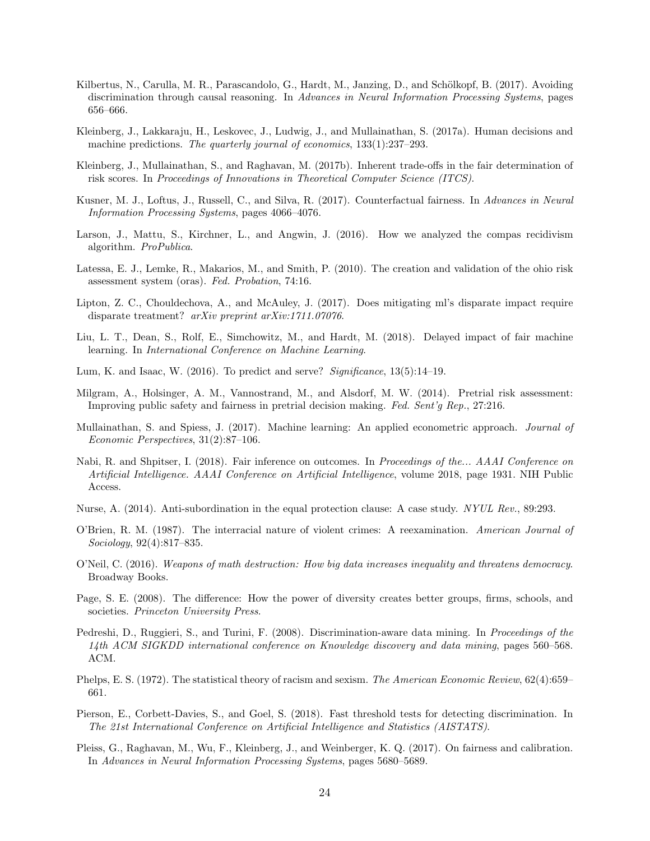- <span id="page-23-6"></span>Kilbertus, N., Carulla, M. R., Parascandolo, G., Hardt, M., Janzing, D., and Schölkopf, B. (2017). Avoiding discrimination through causal reasoning. In Advances in Neural Information Processing Systems, pages 656–666.
- <span id="page-23-16"></span>Kleinberg, J., Lakkaraju, H., Leskovec, J., Ludwig, J., and Mullainathan, S. (2017a). Human decisions and machine predictions. The quarterly journal of economics,  $133(1):237-293$ .
- <span id="page-23-10"></span>Kleinberg, J., Mullainathan, S., and Raghavan, M. (2017b). Inherent trade-offs in the fair determination of risk scores. In Proceedings of Innovations in Theoretical Computer Science (ITCS).
- <span id="page-23-7"></span>Kusner, M. J., Loftus, J., Russell, C., and Silva, R. (2017). Counterfactual fairness. In Advances in Neural Information Processing Systems, pages 4066–4076.
- <span id="page-23-14"></span>Larson, J., Mattu, S., Kirchner, L., and Angwin, J. (2016). How we analyzed the compas recidivism algorithm. ProPublica.
- <span id="page-23-18"></span>Latessa, E. J., Lemke, R., Makarios, M., and Smith, P. (2010). The creation and validation of the ohio risk assessment system (oras). Fed. Probation, 74:16.
- <span id="page-23-11"></span>Lipton, Z. C., Chouldechova, A., and McAuley, J. (2017). Does mitigating ml's disparate impact require disparate treatment? arXiv preprint arXiv:1711.07076.
- <span id="page-23-9"></span>Liu, L. T., Dean, S., Rolf, E., Simchowitz, M., and Hardt, M. (2018). Delayed impact of fair machine learning. In International Conference on Machine Learning.
- <span id="page-23-15"></span>Lum, K. and Isaac, W. (2016). To predict and serve? Significance,  $13(5):14-19$ .
- <span id="page-23-19"></span>Milgram, A., Holsinger, A. M., Vannostrand, M., and Alsdorf, M. W. (2014). Pretrial risk assessment: Improving public safety and fairness in pretrial decision making. Fed. Sent'g Rep., 27:216.
- <span id="page-23-17"></span>Mullainathan, S. and Spiess, J. (2017). Machine learning: An applied econometric approach. Journal of Economic Perspectives, 31(2):87–106.
- <span id="page-23-8"></span>Nabi, R. and Shpitser, I. (2018). Fair inference on outcomes. In Proceedings of the... AAAI Conference on Artificial Intelligence. AAAI Conference on Artificial Intelligence, volume 2018, page 1931. NIH Public Access.
- <span id="page-23-3"></span>Nurse, A. (2014). Anti-subordination in the equal protection clause: A case study. NYUL Rev., 89:293.
- <span id="page-23-5"></span>O'Brien, R. M. (1987). The interracial nature of violent crimes: A reexamination. American Journal of Sociology, 92(4):817–835.
- <span id="page-23-0"></span>O'Neil, C. (2016). Weapons of math destruction: How big data increases inequality and threatens democracy. Broadway Books.
- <span id="page-23-1"></span>Page, S. E. (2008). The difference: How the power of diversity creates better groups, firms, schools, and societies. Princeton University Press.
- <span id="page-23-4"></span>Pedreshi, D., Ruggieri, S., and Turini, F. (2008). Discrimination-aware data mining. In Proceedings of the 14th ACM SIGKDD international conference on Knowledge discovery and data mining, pages 560–568. ACM.
- <span id="page-23-2"></span>Phelps, E. S. (1972). The statistical theory of racism and sexism. The American Economic Review, 62(4):659– 661.
- <span id="page-23-13"></span>Pierson, E., Corbett-Davies, S., and Goel, S. (2018). Fast threshold tests for detecting discrimination. In The 21st International Conference on Artificial Intelligence and Statistics (AISTATS).
- <span id="page-23-12"></span>Pleiss, G., Raghavan, M., Wu, F., Kleinberg, J., and Weinberger, K. Q. (2017). On fairness and calibration. In Advances in Neural Information Processing Systems, pages 5680–5689.